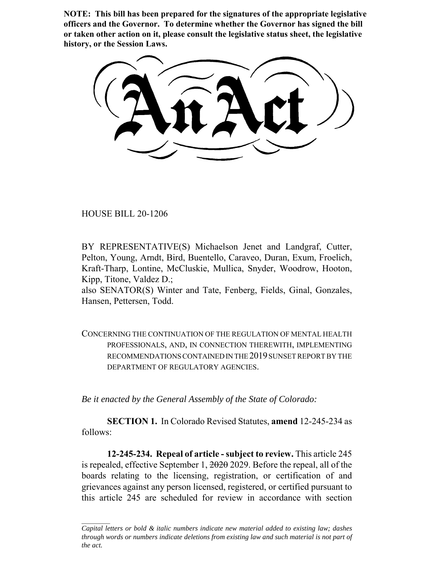**NOTE: This bill has been prepared for the signatures of the appropriate legislative officers and the Governor. To determine whether the Governor has signed the bill or taken other action on it, please consult the legislative status sheet, the legislative history, or the Session Laws.**

HOUSE BILL 20-1206

BY REPRESENTATIVE(S) Michaelson Jenet and Landgraf, Cutter, Pelton, Young, Arndt, Bird, Buentello, Caraveo, Duran, Exum, Froelich, Kraft-Tharp, Lontine, McCluskie, Mullica, Snyder, Woodrow, Hooton, Kipp, Titone, Valdez D.;

also SENATOR(S) Winter and Tate, Fenberg, Fields, Ginal, Gonzales, Hansen, Pettersen, Todd.

CONCERNING THE CONTINUATION OF THE REGULATION OF MENTAL HEALTH PROFESSIONALS, AND, IN CONNECTION THEREWITH, IMPLEMENTING RECOMMENDATIONS CONTAINED IN THE 2019 SUNSET REPORT BY THE DEPARTMENT OF REGULATORY AGENCIES.

*Be it enacted by the General Assembly of the State of Colorado:*

**SECTION 1.** In Colorado Revised Statutes, **amend** 12-245-234 as follows:

**12-245-234. Repeal of article - subject to review.** This article 245 is repealed, effective September 1, 2020 2029. Before the repeal, all of the boards relating to the licensing, registration, or certification of and grievances against any person licensed, registered, or certified pursuant to this article 245 are scheduled for review in accordance with section

*Capital letters or bold & italic numbers indicate new material added to existing law; dashes through words or numbers indicate deletions from existing law and such material is not part of the act.*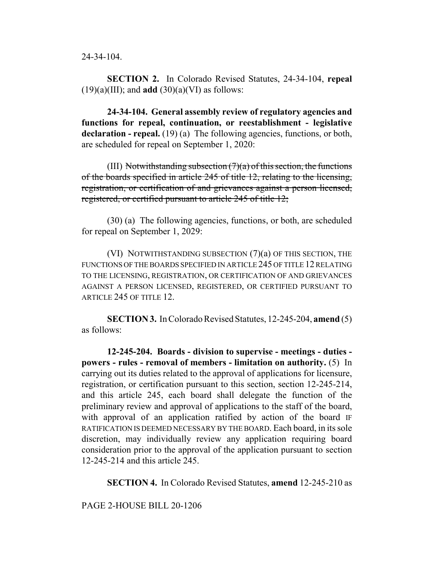24-34-104.

**SECTION 2.** In Colorado Revised Statutes, 24-34-104, **repeal**  $(19)(a)(III)$ ; and **add**  $(30)(a)(VI)$  as follows:

**24-34-104. General assembly review of regulatory agencies and functions for repeal, continuation, or reestablishment - legislative** declaration - repeal. (19) (a) The following agencies, functions, or both, are scheduled for repeal on September 1, 2020:

(III) Notwithstanding subsection  $(7)(a)$  of this section, the functions of the boards specified in article 245 of title 12, relating to the licensing, registration, or certification of and grievances against a person licensed, registered, or certified pursuant to article 245 of title 12;

(30) (a) The following agencies, functions, or both, are scheduled for repeal on September 1, 2029:

(VI) NOTWITHSTANDING SUBSECTION (7)(a) OF THIS SECTION, THE FUNCTIONS OF THE BOARDS SPECIFIED IN ARTICLE 245 OF TITLE 12 RELATING TO THE LICENSING, REGISTRATION, OR CERTIFICATION OF AND GRIEVANCES AGAINST A PERSON LICENSED, REGISTERED, OR CERTIFIED PURSUANT TO ARTICLE 245 OF TITLE 12.

**SECTION 3.** In Colorado Revised Statutes, 12-245-204, **amend** (5) as follows:

**12-245-204. Boards - division to supervise - meetings - duties powers - rules - removal of members - limitation on authority.** (5) In carrying out its duties related to the approval of applications for licensure, registration, or certification pursuant to this section, section 12-245-214, and this article 245, each board shall delegate the function of the preliminary review and approval of applications to the staff of the board, with approval of an application ratified by action of the board IF RATIFICATION IS DEEMED NECESSARY BY THE BOARD. Each board, in its sole discretion, may individually review any application requiring board consideration prior to the approval of the application pursuant to section 12-245-214 and this article 245.

**SECTION 4.** In Colorado Revised Statutes, **amend** 12-245-210 as

PAGE 2-HOUSE BILL 20-1206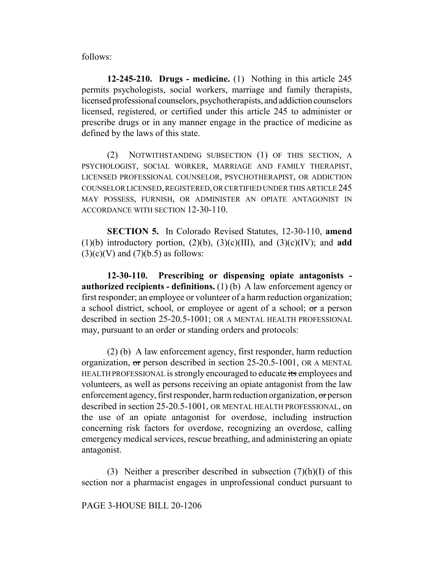follows:

**12-245-210. Drugs - medicine.** (1) Nothing in this article 245 permits psychologists, social workers, marriage and family therapists, licensed professional counselors, psychotherapists, and addiction counselors licensed, registered, or certified under this article 245 to administer or prescribe drugs or in any manner engage in the practice of medicine as defined by the laws of this state.

(2) NOTWITHSTANDING SUBSECTION (1) OF THIS SECTION, A PSYCHOLOGIST, SOCIAL WORKER, MARRIAGE AND FAMILY THERAPIST, LICENSED PROFESSIONAL COUNSELOR, PSYCHOTHERAPIST, OR ADDICTION COUNSELOR LICENSED, REGISTERED, OR CERTIFIED UNDER THIS ARTICLE 245 MAY POSSESS, FURNISH, OR ADMINISTER AN OPIATE ANTAGONIST IN ACCORDANCE WITH SECTION 12-30-110.

**SECTION 5.** In Colorado Revised Statutes, 12-30-110, **amend** (1)(b) introductory portion, (2)(b), (3)(c)(III), and (3)(c)(IV); and **add**  $(3)(c)(V)$  and  $(7)(b.5)$  as follows:

**12-30-110. Prescribing or dispensing opiate antagonists authorized recipients - definitions.** (1) (b) A law enforcement agency or first responder; an employee or volunteer of a harm reduction organization; a school district, school, or employee or agent of a school; or a person described in section 25-20.5-1001; OR A MENTAL HEALTH PROFESSIONAL may, pursuant to an order or standing orders and protocols:

(2) (b) A law enforcement agency, first responder, harm reduction organization, or person described in section 25-20.5-1001, OR A MENTAL HEALTH PROFESSIONAL is strongly encouraged to educate its employees and volunteers, as well as persons receiving an opiate antagonist from the law enforcement agency, first responder, harm reduction organization, or person described in section 25-20.5-1001, OR MENTAL HEALTH PROFESSIONAL, on the use of an opiate antagonist for overdose, including instruction concerning risk factors for overdose, recognizing an overdose, calling emergency medical services, rescue breathing, and administering an opiate antagonist.

(3) Neither a prescriber described in subsection  $(7)(h)(I)$  of this section nor a pharmacist engages in unprofessional conduct pursuant to

PAGE 3-HOUSE BILL 20-1206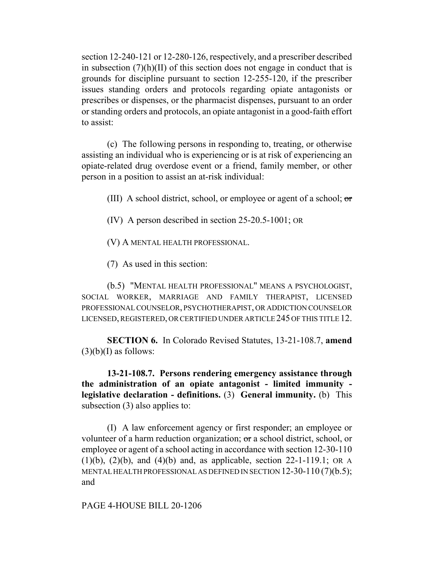section 12-240-121 or 12-280-126, respectively, and a prescriber described in subsection  $(7)(h)(II)$  of this section does not engage in conduct that is grounds for discipline pursuant to section 12-255-120, if the prescriber issues standing orders and protocols regarding opiate antagonists or prescribes or dispenses, or the pharmacist dispenses, pursuant to an order or standing orders and protocols, an opiate antagonist in a good-faith effort to assist:

(c) The following persons in responding to, treating, or otherwise assisting an individual who is experiencing or is at risk of experiencing an opiate-related drug overdose event or a friend, family member, or other person in a position to assist an at-risk individual:

(III) A school district, school, or employee or agent of a school;  $\sigma$ 

(IV) A person described in section 25-20.5-1001; OR

(V) A MENTAL HEALTH PROFESSIONAL.

(7) As used in this section:

(b.5) "MENTAL HEALTH PROFESSIONAL" MEANS A PSYCHOLOGIST, SOCIAL WORKER, MARRIAGE AND FAMILY THERAPIST, LICENSED PROFESSIONAL COUNSELOR, PSYCHOTHERAPIST, OR ADDICTION COUNSELOR LICENSED, REGISTERED, OR CERTIFIED UNDER ARTICLE 245 OF THIS TITLE 12.

**SECTION 6.** In Colorado Revised Statutes, 13-21-108.7, **amend**  $(3)(b)(I)$  as follows:

**13-21-108.7. Persons rendering emergency assistance through the administration of an opiate antagonist - limited immunity legislative declaration - definitions.** (3) **General immunity.** (b) This subsection (3) also applies to:

(I) A law enforcement agency or first responder; an employee or volunteer of a harm reduction organization; or a school district, school, or employee or agent of a school acting in accordance with section 12-30-110 (1)(b), (2)(b), and (4)(b) and, as applicable, section 22-1-119.1; OR A MENTAL HEALTH PROFESSIONAL AS DEFINED IN SECTION 12-30-110 (7)(b.5); and

PAGE 4-HOUSE BILL 20-1206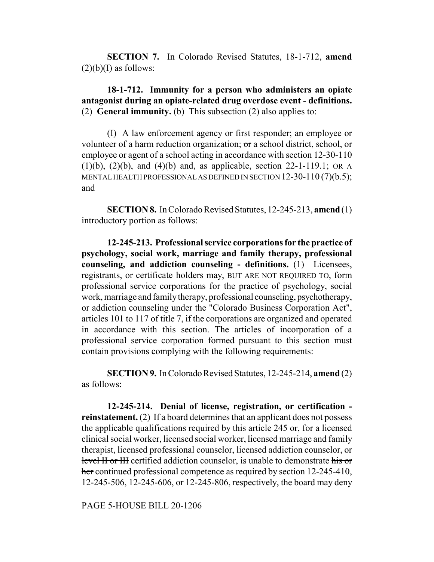**SECTION 7.** In Colorado Revised Statutes, 18-1-712, **amend**  $(2)(b)(I)$  as follows:

**18-1-712. Immunity for a person who administers an opiate antagonist during an opiate-related drug overdose event - definitions.** (2) **General immunity.** (b) This subsection (2) also applies to:

(I) A law enforcement agency or first responder; an employee or volunteer of a harm reduction organization; or a school district, school, or employee or agent of a school acting in accordance with section 12-30-110 (1)(b), (2)(b), and (4)(b) and, as applicable, section 22-1-119.1; OR A MENTAL HEALTH PROFESSIONAL AS DEFINED IN SECTION 12-30-110 (7)(b.5); and

**SECTION 8.** In Colorado Revised Statutes, 12-245-213, **amend** (1) introductory portion as follows:

**12-245-213. Professional service corporations for the practice of psychology, social work, marriage and family therapy, professional counseling, and addiction counseling - definitions.** (1) Licensees, registrants, or certificate holders may, BUT ARE NOT REQUIRED TO, form professional service corporations for the practice of psychology, social work, marriage and family therapy, professional counseling, psychotherapy, or addiction counseling under the "Colorado Business Corporation Act", articles 101 to 117 of title 7, if the corporations are organized and operated in accordance with this section. The articles of incorporation of a professional service corporation formed pursuant to this section must contain provisions complying with the following requirements:

**SECTION 9.** In Colorado Revised Statutes, 12-245-214, **amend** (2) as follows:

**12-245-214. Denial of license, registration, or certification reinstatement.** (2) If a board determines that an applicant does not possess the applicable qualifications required by this article 245 or, for a licensed clinical social worker, licensed social worker, licensed marriage and family therapist, licensed professional counselor, licensed addiction counselor, or level II or III certified addiction counselor, is unable to demonstrate his or her continued professional competence as required by section 12-245-410, 12-245-506, 12-245-606, or 12-245-806, respectively, the board may deny

PAGE 5-HOUSE BILL 20-1206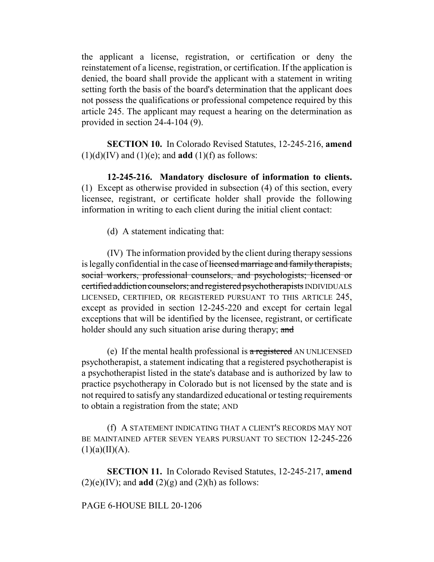the applicant a license, registration, or certification or deny the reinstatement of a license, registration, or certification. If the application is denied, the board shall provide the applicant with a statement in writing setting forth the basis of the board's determination that the applicant does not possess the qualifications or professional competence required by this article 245. The applicant may request a hearing on the determination as provided in section 24-4-104 (9).

**SECTION 10.** In Colorado Revised Statutes, 12-245-216, **amend**  $(1)(d)(IV)$  and  $(1)(e)$ ; and **add**  $(1)(f)$  as follows:

**12-245-216. Mandatory disclosure of information to clients.** (1) Except as otherwise provided in subsection (4) of this section, every licensee, registrant, or certificate holder shall provide the following information in writing to each client during the initial client contact:

(d) A statement indicating that:

(IV) The information provided by the client during therapy sessions is legally confidential in the case of licensed marriage and family therapists, social workers, professional counselors, and psychologists; licensed or certified addiction counselors; and registered psychotherapists INDIVIDUALS LICENSED, CERTIFIED, OR REGISTERED PURSUANT TO THIS ARTICLE 245, except as provided in section 12-245-220 and except for certain legal exceptions that will be identified by the licensee, registrant, or certificate holder should any such situation arise during therapy; and

(e) If the mental health professional is a registered AN UNLICENSED psychotherapist, a statement indicating that a registered psychotherapist is a psychotherapist listed in the state's database and is authorized by law to practice psychotherapy in Colorado but is not licensed by the state and is not required to satisfy any standardized educational or testing requirements to obtain a registration from the state; AND

(f) A STATEMENT INDICATING THAT A CLIENT'S RECORDS MAY NOT BE MAINTAINED AFTER SEVEN YEARS PURSUANT TO SECTION 12-245-226  $(1)(a)(II)(A).$ 

**SECTION 11.** In Colorado Revised Statutes, 12-245-217, **amend**  $(2)(e)(IV)$ ; and **add**  $(2)(g)$  and  $(2)(h)$  as follows:

# PAGE 6-HOUSE BILL 20-1206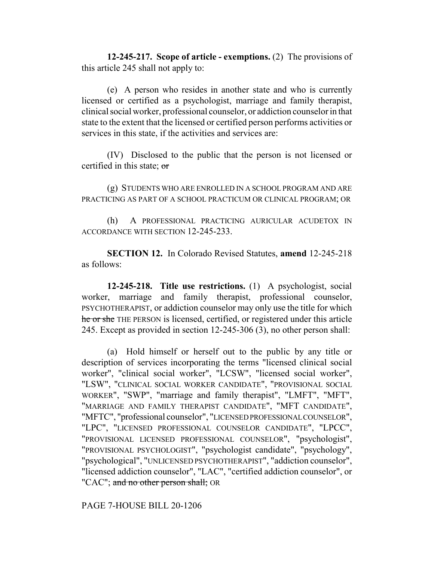**12-245-217. Scope of article - exemptions.** (2) The provisions of this article 245 shall not apply to:

(e) A person who resides in another state and who is currently licensed or certified as a psychologist, marriage and family therapist, clinical social worker, professional counselor, or addiction counselor in that state to the extent that the licensed or certified person performs activities or services in this state, if the activities and services are:

(IV) Disclosed to the public that the person is not licensed or certified in this state; or

(g) STUDENTS WHO ARE ENROLLED IN A SCHOOL PROGRAM AND ARE PRACTICING AS PART OF A SCHOOL PRACTICUM OR CLINICAL PROGRAM; OR

(h) A PROFESSIONAL PRACTICING AURICULAR ACUDETOX IN ACCORDANCE WITH SECTION 12-245-233.

**SECTION 12.** In Colorado Revised Statutes, **amend** 12-245-218 as follows:

**12-245-218. Title use restrictions.** (1) A psychologist, social worker, marriage and family therapist, professional counselor, PSYCHOTHERAPIST, or addiction counselor may only use the title for which he or she THE PERSON is licensed, certified, or registered under this article 245. Except as provided in section 12-245-306 (3), no other person shall:

(a) Hold himself or herself out to the public by any title or description of services incorporating the terms "licensed clinical social worker", "clinical social worker", "LCSW", "licensed social worker", "LSW", "CLINICAL SOCIAL WORKER CANDIDATE", "PROVISIONAL SOCIAL WORKER", "SWP", "marriage and family therapist", "LMFT", "MFT", "MARRIAGE AND FAMILY THERAPIST CANDIDATE", "MFT CANDIDATE", "MFTC", "professional counselor", "LICENSED PROFESSIONAL COUNSELOR", "LPC", "LICENSED PROFESSIONAL COUNSELOR CANDIDATE", "LPCC", "PROVISIONAL LICENSED PROFESSIONAL COUNSELOR", "psychologist", "PROVISIONAL PSYCHOLOGIST", "psychologist candidate", "psychology", "psychological", "UNLICENSED PSYCHOTHERAPIST", "addiction counselor", "licensed addiction counselor", "LAC", "certified addiction counselor", or "CAC"; and no other person shall; OR

PAGE 7-HOUSE BILL 20-1206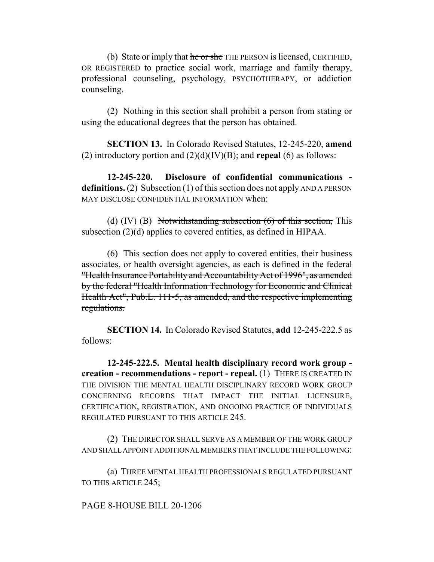(b) State or imply that he or she THE PERSON is licensed, CERTIFIED, OR REGISTERED to practice social work, marriage and family therapy, professional counseling, psychology, PSYCHOTHERAPY, or addiction counseling.

(2) Nothing in this section shall prohibit a person from stating or using the educational degrees that the person has obtained.

**SECTION 13.** In Colorado Revised Statutes, 12-245-220, **amend** (2) introductory portion and (2)(d)(IV)(B); and **repeal** (6) as follows:

**12-245-220. Disclosure of confidential communications definitions.** (2) Subsection (1) of this section does not apply AND A PERSON MAY DISCLOSE CONFIDENTIAL INFORMATION when:

(d)  $(IV)$   $(B)$  Notwithstanding subsection  $(6)$  of this section, This subsection (2)(d) applies to covered entities, as defined in HIPAA.

(6) This section does not apply to covered entities, their business associates, or health oversight agencies, as each is defined in the federal "Health Insurance Portability and Accountability Act of 1996", as amended by the federal "Health Information Technology for Economic and Clinical Health Act", Pub.L. 111-5, as amended, and the respective implementing regulations.

**SECTION 14.** In Colorado Revised Statutes, **add** 12-245-222.5 as follows:

**12-245-222.5. Mental health disciplinary record work group creation - recommendations - report - repeal.** (1) THERE IS CREATED IN THE DIVISION THE MENTAL HEALTH DISCIPLINARY RECORD WORK GROUP CONCERNING RECORDS THAT IMPACT THE INITIAL LICENSURE, CERTIFICATION, REGISTRATION, AND ONGOING PRACTICE OF INDIVIDUALS REGULATED PURSUANT TO THIS ARTICLE 245.

(2) THE DIRECTOR SHALL SERVE AS A MEMBER OF THE WORK GROUP AND SHALL APPOINT ADDITIONAL MEMBERS THAT INCLUDE THE FOLLOWING:

(a) THREE MENTAL HEALTH PROFESSIONALS REGULATED PURSUANT TO THIS ARTICLE 245;

PAGE 8-HOUSE BILL 20-1206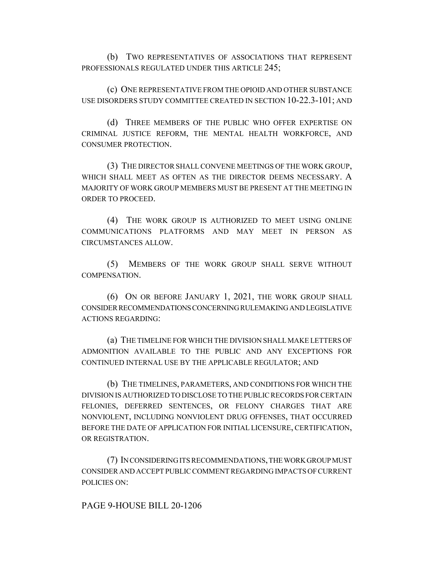(b) TWO REPRESENTATIVES OF ASSOCIATIONS THAT REPRESENT PROFESSIONALS REGULATED UNDER THIS ARTICLE 245;

(c) ONE REPRESENTATIVE FROM THE OPIOID AND OTHER SUBSTANCE USE DISORDERS STUDY COMMITTEE CREATED IN SECTION 10-22.3-101; AND

(d) THREE MEMBERS OF THE PUBLIC WHO OFFER EXPERTISE ON CRIMINAL JUSTICE REFORM, THE MENTAL HEALTH WORKFORCE, AND CONSUMER PROTECTION.

(3) THE DIRECTOR SHALL CONVENE MEETINGS OF THE WORK GROUP, WHICH SHALL MEET AS OFTEN AS THE DIRECTOR DEEMS NECESSARY. A MAJORITY OF WORK GROUP MEMBERS MUST BE PRESENT AT THE MEETING IN ORDER TO PROCEED.

(4) THE WORK GROUP IS AUTHORIZED TO MEET USING ONLINE COMMUNICATIONS PLATFORMS AND MAY MEET IN PERSON AS CIRCUMSTANCES ALLOW.

(5) MEMBERS OF THE WORK GROUP SHALL SERVE WITHOUT COMPENSATION.

(6) ON OR BEFORE JANUARY 1, 2021, THE WORK GROUP SHALL CONSIDER RECOMMENDATIONS CONCERNING RULEMAKING AND LEGISLATIVE ACTIONS REGARDING:

(a) THE TIMELINE FOR WHICH THE DIVISION SHALL MAKE LETTERS OF ADMONITION AVAILABLE TO THE PUBLIC AND ANY EXCEPTIONS FOR CONTINUED INTERNAL USE BY THE APPLICABLE REGULATOR; AND

(b) THE TIMELINES, PARAMETERS, AND CONDITIONS FOR WHICH THE DIVISION IS AUTHORIZED TO DISCLOSE TO THE PUBLIC RECORDS FOR CERTAIN FELONIES, DEFERRED SENTENCES, OR FELONY CHARGES THAT ARE NONVIOLENT, INCLUDING NONVIOLENT DRUG OFFENSES, THAT OCCURRED BEFORE THE DATE OF APPLICATION FOR INITIAL LICENSURE, CERTIFICATION, OR REGISTRATION.

(7) IN CONSIDERING ITS RECOMMENDATIONS, THE WORK GROUP MUST CONSIDER AND ACCEPT PUBLIC COMMENT REGARDING IMPACTS OF CURRENT POLICIES ON:

PAGE 9-HOUSE BILL 20-1206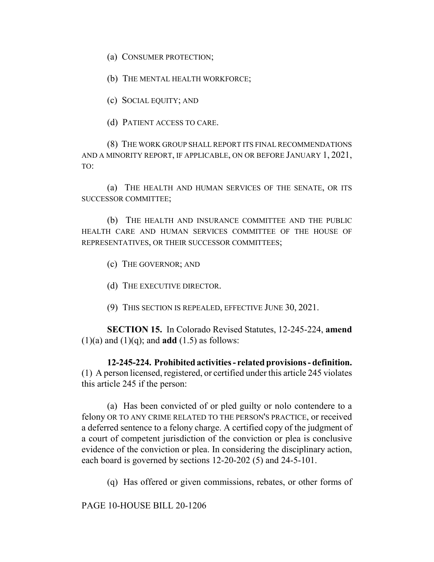(a) CONSUMER PROTECTION;

(b) THE MENTAL HEALTH WORKFORCE;

(c) SOCIAL EQUITY; AND

(d) PATIENT ACCESS TO CARE.

(8) THE WORK GROUP SHALL REPORT ITS FINAL RECOMMENDATIONS AND A MINORITY REPORT, IF APPLICABLE, ON OR BEFORE JANUARY 1, 2021, TO:

(a) THE HEALTH AND HUMAN SERVICES OF THE SENATE, OR ITS SUCCESSOR COMMITTEE;

(b) THE HEALTH AND INSURANCE COMMITTEE AND THE PUBLIC HEALTH CARE AND HUMAN SERVICES COMMITTEE OF THE HOUSE OF REPRESENTATIVES, OR THEIR SUCCESSOR COMMITTEES;

(c) THE GOVERNOR; AND

(d) THE EXECUTIVE DIRECTOR.

(9) THIS SECTION IS REPEALED, EFFECTIVE JUNE 30, 2021.

**SECTION 15.** In Colorado Revised Statutes, 12-245-224, **amend**  $(1)(a)$  and  $(1)(a)$ ; and **add**  $(1.5)$  as follows:

**12-245-224. Prohibited activities - related provisions - definition.** (1) A person licensed, registered, or certified under this article 245 violates this article 245 if the person:

(a) Has been convicted of or pled guilty or nolo contendere to a felony OR TO ANY CRIME RELATED TO THE PERSON'S PRACTICE, or received a deferred sentence to a felony charge. A certified copy of the judgment of a court of competent jurisdiction of the conviction or plea is conclusive evidence of the conviction or plea. In considering the disciplinary action, each board is governed by sections 12-20-202 (5) and 24-5-101.

(q) Has offered or given commissions, rebates, or other forms of

PAGE 10-HOUSE BILL 20-1206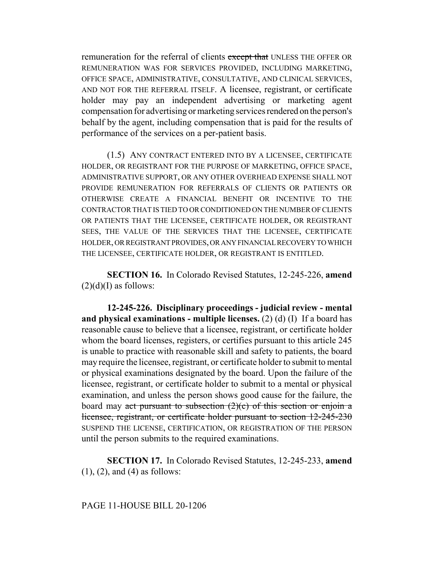remuneration for the referral of clients except that UNLESS THE OFFER OR REMUNERATION WAS FOR SERVICES PROVIDED, INCLUDING MARKETING, OFFICE SPACE, ADMINISTRATIVE, CONSULTATIVE, AND CLINICAL SERVICES, AND NOT FOR THE REFERRAL ITSELF. A licensee, registrant, or certificate holder may pay an independent advertising or marketing agent compensation for advertising or marketing services rendered on the person's behalf by the agent, including compensation that is paid for the results of performance of the services on a per-patient basis.

(1.5) ANY CONTRACT ENTERED INTO BY A LICENSEE, CERTIFICATE HOLDER, OR REGISTRANT FOR THE PURPOSE OF MARKETING, OFFICE SPACE, ADMINISTRATIVE SUPPORT, OR ANY OTHER OVERHEAD EXPENSE SHALL NOT PROVIDE REMUNERATION FOR REFERRALS OF CLIENTS OR PATIENTS OR OTHERWISE CREATE A FINANCIAL BENEFIT OR INCENTIVE TO THE CONTRACTOR THAT IS TIED TO OR CONDITIONED ON THE NUMBER OF CLIENTS OR PATIENTS THAT THE LICENSEE, CERTIFICATE HOLDER, OR REGISTRANT SEES, THE VALUE OF THE SERVICES THAT THE LICENSEE, CERTIFICATE HOLDER, OR REGISTRANT PROVIDES, OR ANY FINANCIAL RECOVERY TO WHICH THE LICENSEE, CERTIFICATE HOLDER, OR REGISTRANT IS ENTITLED.

**SECTION 16.** In Colorado Revised Statutes, 12-245-226, **amend**  $(2)(d)(I)$  as follows:

**12-245-226. Disciplinary proceedings - judicial review - mental and physical examinations - multiple licenses.** (2) (d) (I) If a board has reasonable cause to believe that a licensee, registrant, or certificate holder whom the board licenses, registers, or certifies pursuant to this article 245 is unable to practice with reasonable skill and safety to patients, the board may require the licensee, registrant, or certificate holder to submit to mental or physical examinations designated by the board. Upon the failure of the licensee, registrant, or certificate holder to submit to a mental or physical examination, and unless the person shows good cause for the failure, the board may act pursuant to subsection  $(2)(c)$  of this section or enjoin a licensee, registrant, or certificate holder pursuant to section 12-245-230 SUSPEND THE LICENSE, CERTIFICATION, OR REGISTRATION OF THE PERSON until the person submits to the required examinations.

**SECTION 17.** In Colorado Revised Statutes, 12-245-233, **amend** (1), (2), and (4) as follows:

## PAGE 11-HOUSE BILL 20-1206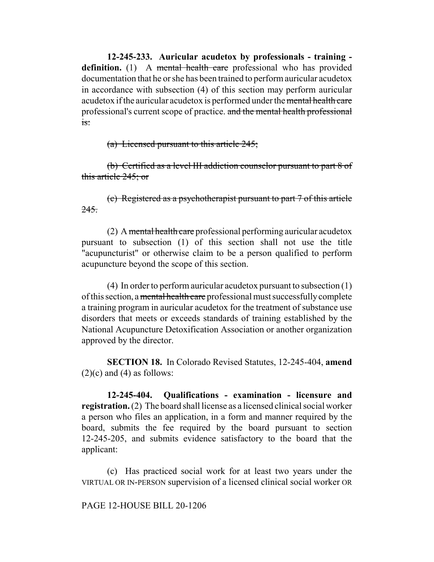**12-245-233. Auricular acudetox by professionals - training**  definition. (1) A mental health care professional who has provided documentation that he or she has been trained to perform auricular acudetox in accordance with subsection (4) of this section may perform auricular acudetox if the auricular acudetox is performed under the mental health care professional's current scope of practice. and the mental health professional is:

(a) Licensed pursuant to this article 245;

(b) Certified as a level III addiction counselor pursuant to part 8 of this article 245; or

(c) Registered as a psychotherapist pursuant to part 7 of this article 245.

(2) A mental health care professional performing auricular acudetox pursuant to subsection (1) of this section shall not use the title "acupuncturist" or otherwise claim to be a person qualified to perform acupuncture beyond the scope of this section.

(4) In order to perform auricular acudetox pursuant to subsection (1) of this section, a mental health care professional must successfully complete a training program in auricular acudetox for the treatment of substance use disorders that meets or exceeds standards of training established by the National Acupuncture Detoxification Association or another organization approved by the director.

**SECTION 18.** In Colorado Revised Statutes, 12-245-404, **amend**  $(2)(c)$  and  $(4)$  as follows:

**12-245-404. Qualifications - examination - licensure and registration.** (2) The board shall license as a licensed clinical social worker a person who files an application, in a form and manner required by the board, submits the fee required by the board pursuant to section 12-245-205, and submits evidence satisfactory to the board that the applicant:

(c) Has practiced social work for at least two years under the VIRTUAL OR IN-PERSON supervision of a licensed clinical social worker OR

PAGE 12-HOUSE BILL 20-1206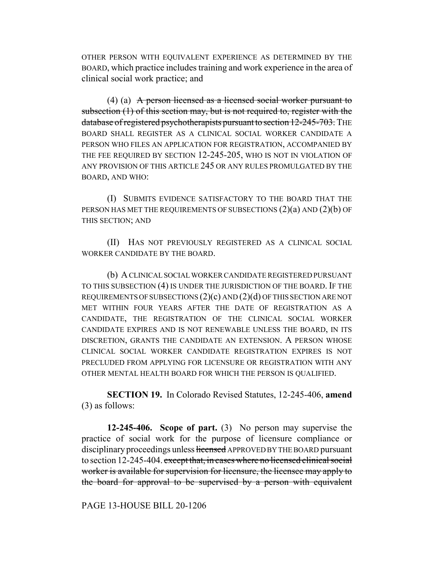OTHER PERSON WITH EQUIVALENT EXPERIENCE AS DETERMINED BY THE BOARD, which practice includes training and work experience in the area of clinical social work practice; and

(4) (a) A person licensed as a licensed social worker pursuant to subsection (1) of this section may, but is not required to, register with the database of registered psychotherapists pursuant to section 12-245-703. THE BOARD SHALL REGISTER AS A CLINICAL SOCIAL WORKER CANDIDATE A PERSON WHO FILES AN APPLICATION FOR REGISTRATION, ACCOMPANIED BY THE FEE REQUIRED BY SECTION 12-245-205, WHO IS NOT IN VIOLATION OF ANY PROVISION OF THIS ARTICLE 245 OR ANY RULES PROMULGATED BY THE BOARD, AND WHO:

(I) SUBMITS EVIDENCE SATISFACTORY TO THE BOARD THAT THE PERSON HAS MET THE REQUIREMENTS OF SUBSECTIONS  $(2)(a)$  AND  $(2)(b)$  OF THIS SECTION; AND

(II) HAS NOT PREVIOUSLY REGISTERED AS A CLINICAL SOCIAL WORKER CANDIDATE BY THE BOARD.

(b) A CLINICAL SOCIAL WORKER CANDIDATE REGISTERED PURSUANT TO THIS SUBSECTION (4) IS UNDER THE JURISDICTION OF THE BOARD. IF THE REQUIREMENTS OF SUBSECTIONS  $(2)(c)$  AND  $(2)(d)$  OF THIS SECTION ARE NOT MET WITHIN FOUR YEARS AFTER THE DATE OF REGISTRATION AS A CANDIDATE, THE REGISTRATION OF THE CLINICAL SOCIAL WORKER CANDIDATE EXPIRES AND IS NOT RENEWABLE UNLESS THE BOARD, IN ITS DISCRETION, GRANTS THE CANDIDATE AN EXTENSION. A PERSON WHOSE CLINICAL SOCIAL WORKER CANDIDATE REGISTRATION EXPIRES IS NOT PRECLUDED FROM APPLYING FOR LICENSURE OR REGISTRATION WITH ANY OTHER MENTAL HEALTH BOARD FOR WHICH THE PERSON IS QUALIFIED.

**SECTION 19.** In Colorado Revised Statutes, 12-245-406, **amend** (3) as follows:

**12-245-406. Scope of part.** (3) No person may supervise the practice of social work for the purpose of licensure compliance or disciplinary proceedings unless licensed APPROVED BY THE BOARD pursuant to section 12-245-404. except that, in cases where no licensed clinical social worker is available for supervision for licensure, the licensee may apply to the board for approval to be supervised by a person with equivalent

PAGE 13-HOUSE BILL 20-1206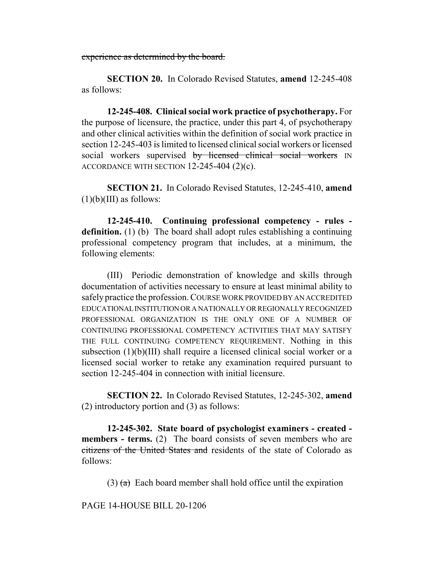experience as determined by the board.

**SECTION 20.** In Colorado Revised Statutes, **amend** 12-245-408 as follows:

**12-245-408. Clinical social work practice of psychotherapy.** For the purpose of licensure, the practice, under this part 4, of psychotherapy and other clinical activities within the definition of social work practice in section 12-245-403 is limited to licensed clinical social workers or licensed social workers supervised by licensed clinical social workers IN ACCORDANCE WITH SECTION 12-245-404 (2)(c).

**SECTION 21.** In Colorado Revised Statutes, 12-245-410, **amend**  $(1)(b)(III)$  as follows:

**12-245-410. Continuing professional competency - rules definition.** (1) (b) The board shall adopt rules establishing a continuing professional competency program that includes, at a minimum, the following elements:

(III) Periodic demonstration of knowledge and skills through documentation of activities necessary to ensure at least minimal ability to safely practice the profession. COURSE WORK PROVIDED BY AN ACCREDITED EDUCATIONAL INSTITUTION OR A NATIONALLY OR REGIONALLY RECOGNIZED PROFESSIONAL ORGANIZATION IS THE ONLY ONE OF A NUMBER OF CONTINUING PROFESSIONAL COMPETENCY ACTIVITIES THAT MAY SATISFY THE FULL CONTINUING COMPETENCY REQUIREMENT. Nothing in this subsection (1)(b)(III) shall require a licensed clinical social worker or a licensed social worker to retake any examination required pursuant to section 12-245-404 in connection with initial licensure.

**SECTION 22.** In Colorado Revised Statutes, 12-245-302, **amend** (2) introductory portion and (3) as follows:

**12-245-302. State board of psychologist examiners - created members - terms.** (2) The board consists of seven members who are citizens of the United States and residents of the state of Colorado as follows:

(3)  $(a)$  Each board member shall hold office until the expiration

PAGE 14-HOUSE BILL 20-1206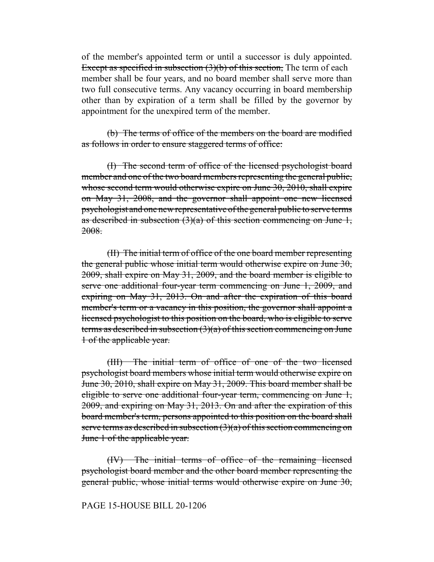of the member's appointed term or until a successor is duly appointed. Except as specified in subsection (3)(b) of this section. The term of each member shall be four years, and no board member shall serve more than two full consecutive terms. Any vacancy occurring in board membership other than by expiration of a term shall be filled by the governor by appointment for the unexpired term of the member.

(b) The terms of office of the members on the board are modified as follows in order to ensure staggered terms of office:

(I) The second term of office of the licensed psychologist board member and one of the two board members representing the general public, whose second term would otherwise expire on June 30, 2010, shall expire on May 31, 2008, and the governor shall appoint one new licensed psychologist and one new representative of the general public to serve terms as described in subsection  $(3)(a)$  of this section commencing on June 1, 2008.

(II) The initial term of office of the one board member representing the general public whose initial term would otherwise expire on June 30, 2009, shall expire on May 31, 2009, and the board member is eligible to serve one additional four-year term commencing on June 1, 2009, and expiring on May 31, 2013. On and after the expiration of this board member's term or a vacancy in this position, the governor shall appoint a licensed psychologist to this position on the board, who is eligible to serve terms as described in subsection (3)(a) of this section commencing on June 1 of the applicable year.

(III) The initial term of office of one of the two licensed psychologist board members whose initial term would otherwise expire on June 30, 2010, shall expire on May 31, 2009. This board member shall be eligible to serve one additional four-year term, commencing on June 1, 2009, and expiring on May 31, 2013. On and after the expiration of this board member's term, persons appointed to this position on the board shall serve terms as described in subsection  $(3)(a)$  of this section commencing on June 1 of the applicable year.

(IV) The initial terms of office of the remaining licensed psychologist board member and the other board member representing the general public, whose initial terms would otherwise expire on June 30,

### PAGE 15-HOUSE BILL 20-1206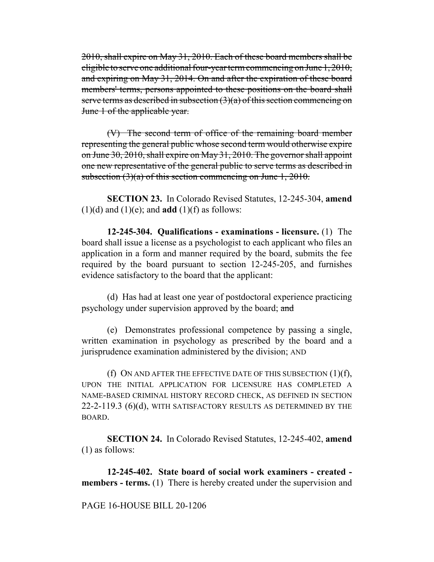2010, shall expire on May 31, 2010. Each of these board members shall be eligible to serve one additional four-year term commencing on June 1, 2010, and expiring on May 31, 2014. On and after the expiration of these board members' terms, persons appointed to these positions on the board shall serve terms as described in subsection  $(3)(a)$  of this section commencing on June 1 of the applicable year.

(V) The second term of office of the remaining board member representing the general public whose second term would otherwise expire on June 30, 2010, shall expire on May 31, 2010. The governor shall appoint one new representative of the general public to serve terms as described in subsection  $(3)(a)$  of this section commencing on June 1, 2010.

**SECTION 23.** In Colorado Revised Statutes, 12-245-304, **amend**  $(1)(d)$  and  $(1)(e)$ ; and **add**  $(1)(f)$  as follows:

**12-245-304. Qualifications - examinations - licensure.** (1) The board shall issue a license as a psychologist to each applicant who files an application in a form and manner required by the board, submits the fee required by the board pursuant to section 12-245-205, and furnishes evidence satisfactory to the board that the applicant:

(d) Has had at least one year of postdoctoral experience practicing psychology under supervision approved by the board; and

(e) Demonstrates professional competence by passing a single, written examination in psychology as prescribed by the board and a jurisprudence examination administered by the division; AND

(f) ON AND AFTER THE EFFECTIVE DATE OF THIS SUBSECTION  $(1)(f)$ , UPON THE INITIAL APPLICATION FOR LICENSURE HAS COMPLETED A NAME-BASED CRIMINAL HISTORY RECORD CHECK, AS DEFINED IN SECTION 22-2-119.3 (6)(d), WITH SATISFACTORY RESULTS AS DETERMINED BY THE BOARD.

**SECTION 24.** In Colorado Revised Statutes, 12-245-402, **amend** (1) as follows:

**12-245-402. State board of social work examiners - created members - terms.** (1) There is hereby created under the supervision and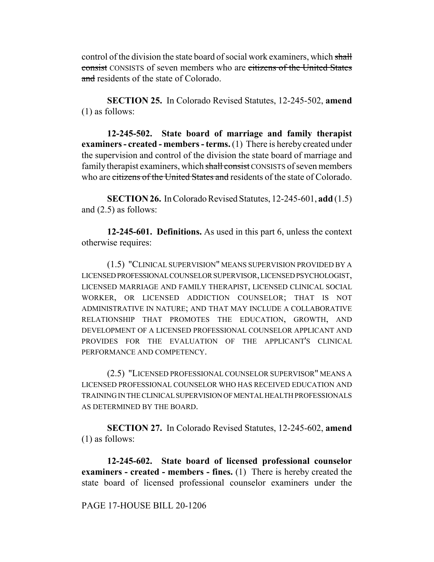control of the division the state board of social work examiners, which shall consist CONSISTS of seven members who are citizens of the United States and residents of the state of Colorado.

**SECTION 25.** In Colorado Revised Statutes, 12-245-502, **amend** (1) as follows:

**12-245-502. State board of marriage and family therapist examiners - created - members - terms.** (1) There is hereby created under the supervision and control of the division the state board of marriage and family therapist examiners, which shall consist CONSISTS of seven members who are citizens of the United States and residents of the state of Colorado.

**SECTION 26.** In Colorado Revised Statutes, 12-245-601, **add** (1.5) and (2.5) as follows:

**12-245-601. Definitions.** As used in this part 6, unless the context otherwise requires:

(1.5) "CLINICAL SUPERVISION" MEANS SUPERVISION PROVIDED BY A LICENSED PROFESSIONAL COUNSELOR SUPERVISOR, LICENSED PSYCHOLOGIST, LICENSED MARRIAGE AND FAMILY THERAPIST, LICENSED CLINICAL SOCIAL WORKER, OR LICENSED ADDICTION COUNSELOR; THAT IS NOT ADMINISTRATIVE IN NATURE; AND THAT MAY INCLUDE A COLLABORATIVE RELATIONSHIP THAT PROMOTES THE EDUCATION, GROWTH, AND DEVELOPMENT OF A LICENSED PROFESSIONAL COUNSELOR APPLICANT AND PROVIDES FOR THE EVALUATION OF THE APPLICANT'S CLINICAL PERFORMANCE AND COMPETENCY.

(2.5) "LICENSED PROFESSIONAL COUNSELOR SUPERVISOR" MEANS A LICENSED PROFESSIONAL COUNSELOR WHO HAS RECEIVED EDUCATION AND TRAINING IN THE CLINICAL SUPERVISION OF MENTAL HEALTH PROFESSIONALS AS DETERMINED BY THE BOARD.

**SECTION 27.** In Colorado Revised Statutes, 12-245-602, **amend** (1) as follows:

**12-245-602. State board of licensed professional counselor examiners - created - members - fines.** (1) There is hereby created the state board of licensed professional counselor examiners under the

### PAGE 17-HOUSE BILL 20-1206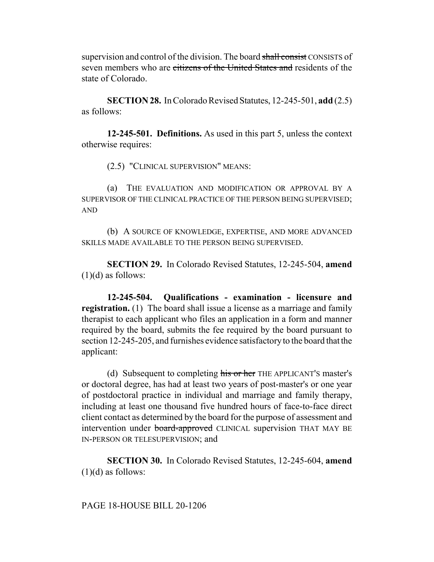supervision and control of the division. The board shall consist CONSISTS of seven members who are citizens of the United States and residents of the state of Colorado.

**SECTION 28.** In Colorado Revised Statutes, 12-245-501, **add** (2.5) as follows:

**12-245-501. Definitions.** As used in this part 5, unless the context otherwise requires:

(2.5) "CLINICAL SUPERVISION" MEANS:

(a) THE EVALUATION AND MODIFICATION OR APPROVAL BY A SUPERVISOR OF THE CLINICAL PRACTICE OF THE PERSON BEING SUPERVISED; AND

(b) A SOURCE OF KNOWLEDGE, EXPERTISE, AND MORE ADVANCED SKILLS MADE AVAILABLE TO THE PERSON BEING SUPERVISED.

**SECTION 29.** In Colorado Revised Statutes, 12-245-504, **amend**  $(1)(d)$  as follows:

**12-245-504. Qualifications - examination - licensure and registration.** (1) The board shall issue a license as a marriage and family therapist to each applicant who files an application in a form and manner required by the board, submits the fee required by the board pursuant to section 12-245-205, and furnishes evidence satisfactory to the board that the applicant:

(d) Subsequent to completing his or her THE APPLICANT'S master's or doctoral degree, has had at least two years of post-master's or one year of postdoctoral practice in individual and marriage and family therapy, including at least one thousand five hundred hours of face-to-face direct client contact as determined by the board for the purpose of assessment and intervention under board-approved CLINICAL supervision THAT MAY BE IN-PERSON OR TELESUPERVISION; and

**SECTION 30.** In Colorado Revised Statutes, 12-245-604, **amend**  $(1)(d)$  as follows: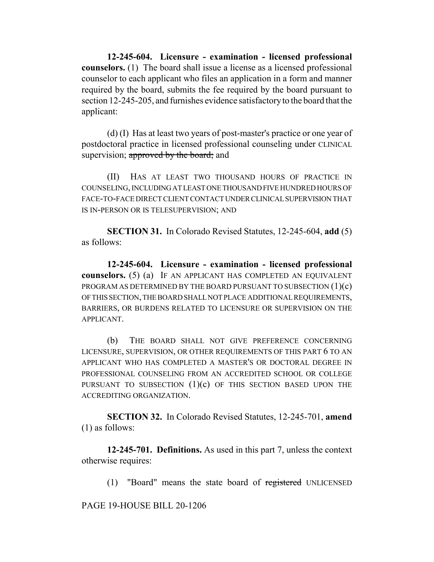**12-245-604. Licensure - examination - licensed professional counselors.** (1) The board shall issue a license as a licensed professional counselor to each applicant who files an application in a form and manner required by the board, submits the fee required by the board pursuant to section 12-245-205, and furnishes evidence satisfactory to the board that the applicant:

(d) (I) Has at least two years of post-master's practice or one year of postdoctoral practice in licensed professional counseling under CLINICAL supervision; approved by the board; and

(II) HAS AT LEAST TWO THOUSAND HOURS OF PRACTICE IN COUNSELING, INCLUDING AT LEAST ONE THOUSAND FIVE HUNDRED HOURS OF FACE-TO-FACE DIRECT CLIENT CONTACT UNDER CLINICAL SUPERVISION THAT IS IN-PERSON OR IS TELESUPERVISION; AND

**SECTION 31.** In Colorado Revised Statutes, 12-245-604, **add** (5) as follows:

**12-245-604. Licensure - examination - licensed professional counselors.** (5) (a) IF AN APPLICANT HAS COMPLETED AN EQUIVALENT PROGRAM AS DETERMINED BY THE BOARD PURSUANT TO SUBSECTION  $(1)(c)$ OF THIS SECTION, THE BOARD SHALL NOT PLACE ADDITIONAL REQUIREMENTS, BARRIERS, OR BURDENS RELATED TO LICENSURE OR SUPERVISION ON THE APPLICANT.

(b) THE BOARD SHALL NOT GIVE PREFERENCE CONCERNING LICENSURE, SUPERVISION, OR OTHER REQUIREMENTS OF THIS PART 6 TO AN APPLICANT WHO HAS COMPLETED A MASTER'S OR DOCTORAL DEGREE IN PROFESSIONAL COUNSELING FROM AN ACCREDITED SCHOOL OR COLLEGE PURSUANT TO SUBSECTION  $(1)(c)$  OF THIS SECTION BASED UPON THE ACCREDITING ORGANIZATION.

**SECTION 32.** In Colorado Revised Statutes, 12-245-701, **amend** (1) as follows:

**12-245-701. Definitions.** As used in this part 7, unless the context otherwise requires:

(1) "Board" means the state board of registered UNLICENSED

PAGE 19-HOUSE BILL 20-1206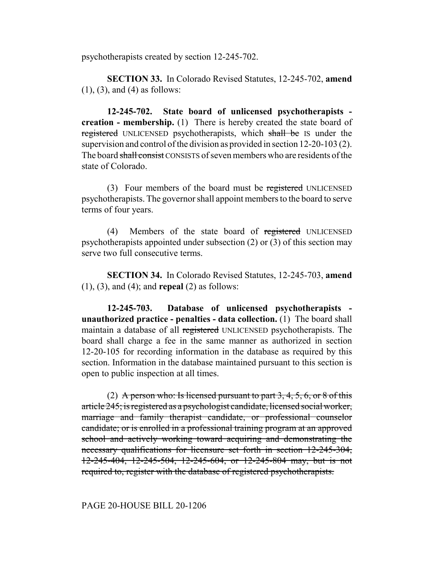psychotherapists created by section 12-245-702.

**SECTION 33.** In Colorado Revised Statutes, 12-245-702, **amend** (1), (3), and (4) as follows:

**12-245-702. State board of unlicensed psychotherapists creation - membership.** (1) There is hereby created the state board of registered UNLICENSED psychotherapists, which shall be IS under the supervision and control of the division as provided in section 12-20-103 (2). The board shall consist CONSISTS of seven members who are residents of the state of Colorado.

(3) Four members of the board must be registered UNLICENSED psychotherapists. The governor shall appoint members to the board to serve terms of four years.

(4) Members of the state board of registered UNLICENSED psychotherapists appointed under subsection (2) or (3) of this section may serve two full consecutive terms.

**SECTION 34.** In Colorado Revised Statutes, 12-245-703, **amend** (1), (3), and (4); and **repeal** (2) as follows:

**12-245-703. Database of unlicensed psychotherapists unauthorized practice - penalties - data collection.** (1) The board shall maintain a database of all registered UNLICENSED psychotherapists. The board shall charge a fee in the same manner as authorized in section 12-20-105 for recording information in the database as required by this section. Information in the database maintained pursuant to this section is open to public inspection at all times.

(2) A person who: Is licensed pursuant to part  $3, 4, 5, 6$ , or  $8$  of this article 245; is registered as a psychologist candidate, licensed social worker, marriage and family therapist candidate, or professional counselor candidate; or is enrolled in a professional training program at an approved school and actively working toward acquiring and demonstrating the necessary qualifications for licensure set forth in section 12-245-304, 12-245-404, 12-245-504, 12-245-604, or 12-245-804 may, but is not required to, register with the database of registered psychotherapists.

## PAGE 20-HOUSE BILL 20-1206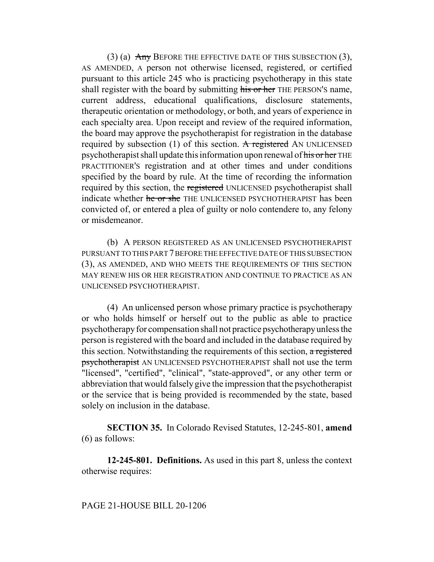(3) (a)  $\overline{Any}$  BEFORE THE EFFECTIVE DATE OF THIS SUBSECTION (3), AS AMENDED, A person not otherwise licensed, registered, or certified pursuant to this article 245 who is practicing psychotherapy in this state shall register with the board by submitting his or her THE PERSON'S name, current address, educational qualifications, disclosure statements, therapeutic orientation or methodology, or both, and years of experience in each specialty area. Upon receipt and review of the required information, the board may approve the psychotherapist for registration in the database required by subsection (1) of this section. A registered AN UNLICENSED psychotherapist shall update this information upon renewal of his or her THE PRACTITIONER'S registration and at other times and under conditions specified by the board by rule. At the time of recording the information required by this section, the registered UNLICENSED psychotherapist shall indicate whether he or she THE UNLICENSED PSYCHOTHERAPIST has been convicted of, or entered a plea of guilty or nolo contendere to, any felony or misdemeanor.

(b) A PERSON REGISTERED AS AN UNLICENSED PSYCHOTHERAPIST PURSUANT TO THIS PART 7 BEFORE THE EFFECTIVE DATE OF THIS SUBSECTION (3), AS AMENDED, AND WHO MEETS THE REQUIREMENTS OF THIS SECTION MAY RENEW HIS OR HER REGISTRATION AND CONTINUE TO PRACTICE AS AN UNLICENSED PSYCHOTHERAPIST.

(4) An unlicensed person whose primary practice is psychotherapy or who holds himself or herself out to the public as able to practice psychotherapy for compensation shall not practice psychotherapy unless the person is registered with the board and included in the database required by this section. Notwithstanding the requirements of this section, a registered psychotherapist AN UNLICENSED PSYCHOTHERAPIST shall not use the term "licensed", "certified", "clinical", "state-approved", or any other term or abbreviation that would falsely give the impression that the psychotherapist or the service that is being provided is recommended by the state, based solely on inclusion in the database.

**SECTION 35.** In Colorado Revised Statutes, 12-245-801, **amend** (6) as follows:

**12-245-801. Definitions.** As used in this part 8, unless the context otherwise requires: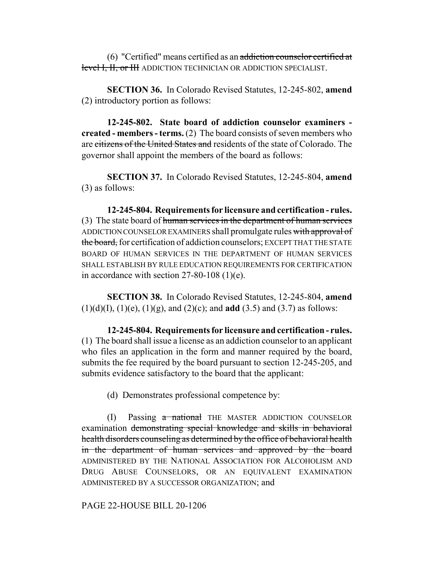(6) "Certified" means certified as an addiction counselor certified at level I, II, or III ADDICTION TECHNICIAN OR ADDICTION SPECIALIST.

**SECTION 36.** In Colorado Revised Statutes, 12-245-802, **amend** (2) introductory portion as follows:

**12-245-802. State board of addiction counselor examiners created - members - terms.** (2) The board consists of seven members who are citizens of the United States and residents of the state of Colorado. The governor shall appoint the members of the board as follows:

**SECTION 37.** In Colorado Revised Statutes, 12-245-804, **amend** (3) as follows:

**12-245-804. Requirements for licensure and certification - rules.** (3) The state board of human services in the department of human services ADDICTION COUNSELOR EXAMINERS shall promulgate rules with approval of the board, for certification of addiction counselors; EXCEPT THAT THE STATE BOARD OF HUMAN SERVICES IN THE DEPARTMENT OF HUMAN SERVICES SHALL ESTABLISH BY RULE EDUCATION REQUIREMENTS FOR CERTIFICATION in accordance with section 27-80-108 (1)(e).

**SECTION 38.** In Colorado Revised Statutes, 12-245-804, **amend** (1)(d)(I), (1)(e), (1)(g), and (2)(c); and **add** (3.5) and (3.7) as follows:

**12-245-804. Requirements for licensure and certification - rules.** (1) The board shall issue a license as an addiction counselor to an applicant who files an application in the form and manner required by the board, submits the fee required by the board pursuant to section 12-245-205, and submits evidence satisfactory to the board that the applicant:

(d) Demonstrates professional competence by:

(I) Passing a national THE MASTER ADDICTION COUNSELOR examination demonstrating special knowledge and skills in behavioral health disorders counseling as determined by the office of behavioral health in the department of human services and approved by the board ADMINISTERED BY THE NATIONAL ASSOCIATION FOR ALCOHOLISM AND DRUG ABUSE COUNSELORS, OR AN EQUIVALENT EXAMINATION ADMINISTERED BY A SUCCESSOR ORGANIZATION; and

PAGE 22-HOUSE BILL 20-1206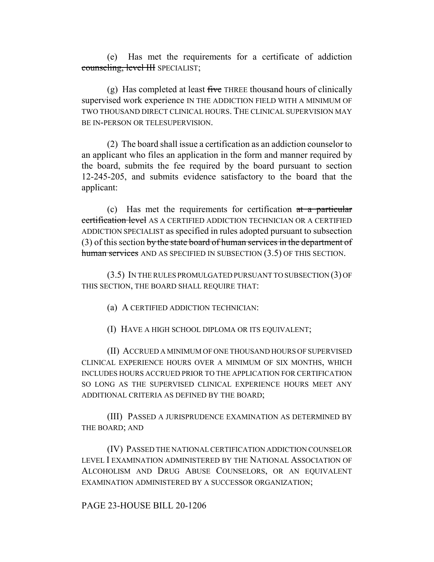(e) Has met the requirements for a certificate of addiction counseling, level III SPECIALIST;

(g) Has completed at least five THREE thousand hours of clinically supervised work experience IN THE ADDICTION FIELD WITH A MINIMUM OF TWO THOUSAND DIRECT CLINICAL HOURS. THE CLINICAL SUPERVISION MAY BE IN-PERSON OR TELESUPERVISION.

(2) The board shall issue a certification as an addiction counselor to an applicant who files an application in the form and manner required by the board, submits the fee required by the board pursuant to section 12-245-205, and submits evidence satisfactory to the board that the applicant:

(c) Has met the requirements for certification at a particular certification level AS A CERTIFIED ADDICTION TECHNICIAN OR A CERTIFIED ADDICTION SPECIALIST as specified in rules adopted pursuant to subsection (3) of this section by the state board of human services in the department of human services AND AS SPECIFIED IN SUBSECTION (3.5) OF THIS SECTION.

(3.5) IN THE RULES PROMULGATED PURSUANT TO SUBSECTION (3) OF THIS SECTION, THE BOARD SHALL REQUIRE THAT:

(a) A CERTIFIED ADDICTION TECHNICIAN:

(I) HAVE A HIGH SCHOOL DIPLOMA OR ITS EQUIVALENT;

(II) ACCRUED A MINIMUM OF ONE THOUSAND HOURS OF SUPERVISED CLINICAL EXPERIENCE HOURS OVER A MINIMUM OF SIX MONTHS, WHICH INCLUDES HOURS ACCRUED PRIOR TO THE APPLICATION FOR CERTIFICATION SO LONG AS THE SUPERVISED CLINICAL EXPERIENCE HOURS MEET ANY ADDITIONAL CRITERIA AS DEFINED BY THE BOARD;

(III) PASSED A JURISPRUDENCE EXAMINATION AS DETERMINED BY THE BOARD; AND

(IV) PASSED THE NATIONAL CERTIFICATION ADDICTION COUNSELOR LEVEL I EXAMINATION ADMINISTERED BY THE NATIONAL ASSOCIATION OF ALCOHOLISM AND DRUG ABUSE COUNSELORS, OR AN EQUIVALENT EXAMINATION ADMINISTERED BY A SUCCESSOR ORGANIZATION;

PAGE 23-HOUSE BILL 20-1206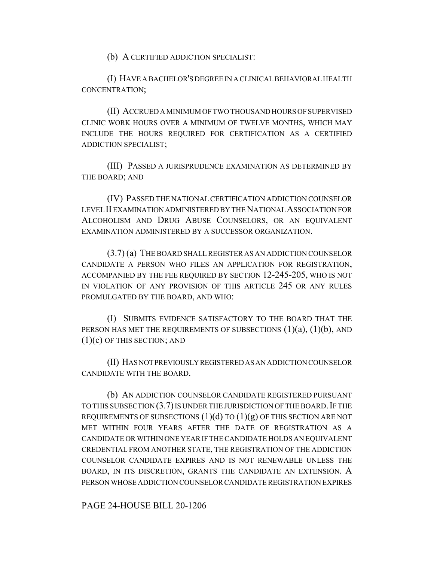(b) A CERTIFIED ADDICTION SPECIALIST:

(I) HAVE A BACHELOR'S DEGREE IN A CLINICAL BEHAVIORAL HEALTH CONCENTRATION;

(II) ACCRUED A MINIMUM OF TWO THOUSAND HOURS OF SUPERVISED CLINIC WORK HOURS OVER A MINIMUM OF TWELVE MONTHS, WHICH MAY INCLUDE THE HOURS REQUIRED FOR CERTIFICATION AS A CERTIFIED ADDICTION SPECIALIST;

(III) PASSED A JURISPRUDENCE EXAMINATION AS DETERMINED BY THE BOARD; AND

(IV) PASSED THE NATIONAL CERTIFICATION ADDICTION COUNSELOR LEVEL II EXAMINATION ADMINISTERED BY THE NATIONAL ASSOCIATION FOR ALCOHOLISM AND DRUG ABUSE COUNSELORS, OR AN EQUIVALENT EXAMINATION ADMINISTERED BY A SUCCESSOR ORGANIZATION.

(3.7) (a) THE BOARD SHALL REGISTER AS AN ADDICTION COUNSELOR CANDIDATE A PERSON WHO FILES AN APPLICATION FOR REGISTRATION, ACCOMPANIED BY THE FEE REQUIRED BY SECTION 12-245-205, WHO IS NOT IN VIOLATION OF ANY PROVISION OF THIS ARTICLE 245 OR ANY RULES PROMULGATED BY THE BOARD, AND WHO:

(I) SUBMITS EVIDENCE SATISFACTORY TO THE BOARD THAT THE PERSON HAS MET THE REQUIREMENTS OF SUBSECTIONS  $(1)(a)$ ,  $(1)(b)$ , AND  $(1)(c)$  OF THIS SECTION; AND

(II) HAS NOT PREVIOUSLY REGISTERED AS AN ADDICTION COUNSELOR CANDIDATE WITH THE BOARD.

(b) AN ADDICTION COUNSELOR CANDIDATE REGISTERED PURSUANT TO THIS SUBSECTION  $(3.7)$  IS UNDER THE JURISDICTION OF THE BOARD. IF THE REQUIREMENTS OF SUBSECTIONS  $(1)(d)$  TO  $(1)(g)$  OF THIS SECTION ARE NOT MET WITHIN FOUR YEARS AFTER THE DATE OF REGISTRATION AS A CANDIDATE OR WITHIN ONE YEAR IF THE CANDIDATE HOLDS AN EQUIVALENT CREDENTIAL FROM ANOTHER STATE, THE REGISTRATION OF THE ADDICTION COUNSELOR CANDIDATE EXPIRES AND IS NOT RENEWABLE UNLESS THE BOARD, IN ITS DISCRETION, GRANTS THE CANDIDATE AN EXTENSION. A PERSON WHOSE ADDICTION COUNSELOR CANDIDATE REGISTRATION EXPIRES

PAGE 24-HOUSE BILL 20-1206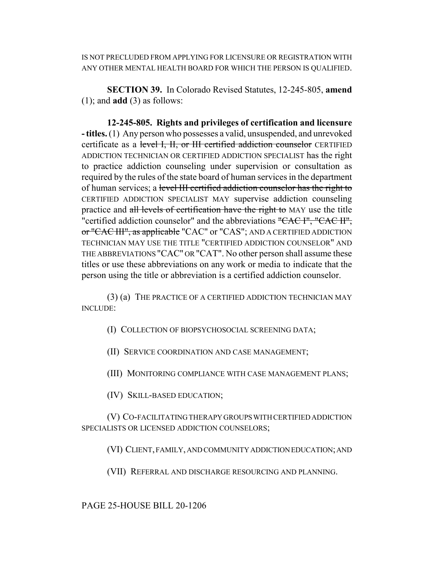IS NOT PRECLUDED FROM APPLYING FOR LICENSURE OR REGISTRATION WITH ANY OTHER MENTAL HEALTH BOARD FOR WHICH THE PERSON IS QUALIFIED.

**SECTION 39.** In Colorado Revised Statutes, 12-245-805, **amend** (1); and **add** (3) as follows:

**12-245-805. Rights and privileges of certification and licensure - titles.** (1) Any person who possesses a valid, unsuspended, and unrevoked certificate as a level I, II, or III certified addiction counselor CERTIFIED ADDICTION TECHNICIAN OR CERTIFIED ADDICTION SPECIALIST has the right to practice addiction counseling under supervision or consultation as required by the rules of the state board of human services in the department of human services; a level III certified addiction counselor has the right to CERTIFIED ADDICTION SPECIALIST MAY supervise addiction counseling practice and all levels of certification have the right to MAY use the title "certified addiction counselor" and the abbreviations "CAC I", "CAC II", or "CAC III", as applicable "CAC" or "CAS"; AND A CERTIFIED ADDICTION TECHNICIAN MAY USE THE TITLE "CERTIFIED ADDICTION COUNSELOR" AND THE ABBREVIATIONS "CAC" OR "CAT". No other person shall assume these titles or use these abbreviations on any work or media to indicate that the person using the title or abbreviation is a certified addiction counselor.

(3) (a) THE PRACTICE OF A CERTIFIED ADDICTION TECHNICIAN MAY INCLUDE:

(I) COLLECTION OF BIOPSYCHOSOCIAL SCREENING DATA;

(II) SERVICE COORDINATION AND CASE MANAGEMENT;

(III) MONITORING COMPLIANCE WITH CASE MANAGEMENT PLANS;

(IV) SKILL-BASED EDUCATION;

(V) CO-FACILITATING THERAPY GROUPS WITH CERTIFIED ADDICTION SPECIALISTS OR LICENSED ADDICTION COUNSELORS;

(VI) CLIENT, FAMILY, AND COMMUNITY ADDICTION EDUCATION; AND

(VII) REFERRAL AND DISCHARGE RESOURCING AND PLANNING.

PAGE 25-HOUSE BILL 20-1206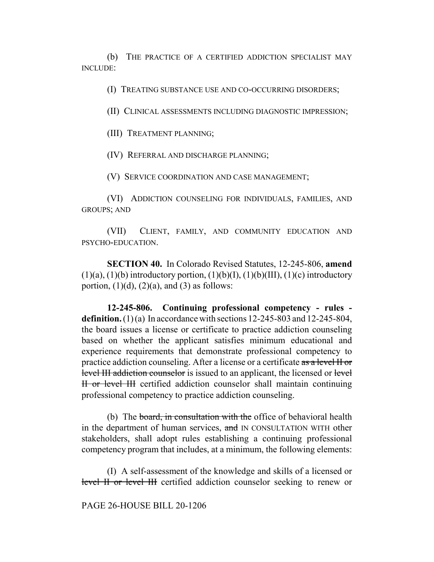(b) THE PRACTICE OF A CERTIFIED ADDICTION SPECIALIST MAY INCLUDE:

(I) TREATING SUBSTANCE USE AND CO-OCCURRING DISORDERS;

(II) CLINICAL ASSESSMENTS INCLUDING DIAGNOSTIC IMPRESSION;

(III) TREATMENT PLANNING;

(IV) REFERRAL AND DISCHARGE PLANNING;

(V) SERVICE COORDINATION AND CASE MANAGEMENT;

(VI) ADDICTION COUNSELING FOR INDIVIDUALS, FAMILIES, AND GROUPS; AND

(VII) CLIENT, FAMILY, AND COMMUNITY EDUCATION AND PSYCHO-EDUCATION.

**SECTION 40.** In Colorado Revised Statutes, 12-245-806, **amend**  $(1)(a)$ ,  $(1)(b)$  introductory portion,  $(1)(b)(I)$ ,  $(1)(b)(III)$ ,  $(1)(c)$  introductory portion,  $(1)(d)$ ,  $(2)(a)$ , and  $(3)$  as follows:

**12-245-806. Continuing professional competency - rules definition.** (1) (a) In accordance with sections 12-245-803 and 12-245-804, the board issues a license or certificate to practice addiction counseling based on whether the applicant satisfies minimum educational and experience requirements that demonstrate professional competency to practice addiction counseling. After a license or a certificate as a level II or level III addiction counselor is issued to an applicant, the licensed or level II or level III certified addiction counselor shall maintain continuing professional competency to practice addiction counseling.

(b) The board, in consultation with the office of behavioral health in the department of human services, and IN CONSULTATION WITH other stakeholders, shall adopt rules establishing a continuing professional competency program that includes, at a minimum, the following elements:

(I) A self-assessment of the knowledge and skills of a licensed or level II or level III certified addiction counselor seeking to renew or

PAGE 26-HOUSE BILL 20-1206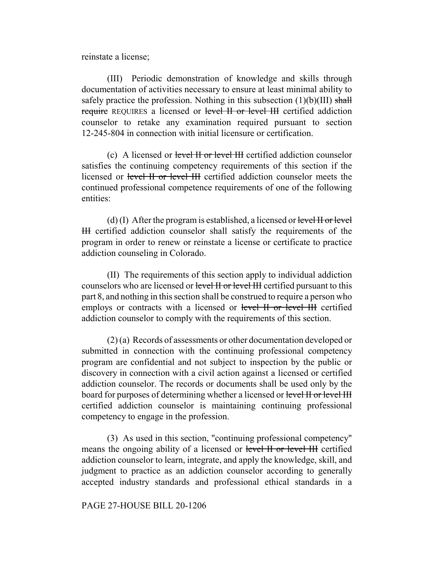reinstate a license;

(III) Periodic demonstration of knowledge and skills through documentation of activities necessary to ensure at least minimal ability to safely practice the profession. Nothing in this subsection  $(1)(b)(III)$  shall require REQUIRES a licensed or level II or level III certified addiction counselor to retake any examination required pursuant to section 12-245-804 in connection with initial licensure or certification.

(c) A licensed or level II or level III certified addiction counselor satisfies the continuing competency requirements of this section if the licensed or level II or level III certified addiction counselor meets the continued professional competence requirements of one of the following entities:

(d) (I) After the program is established, a licensed or level  $H$  or level III certified addiction counselor shall satisfy the requirements of the program in order to renew or reinstate a license or certificate to practice addiction counseling in Colorado.

(II) The requirements of this section apply to individual addiction counselors who are licensed or level II or level III certified pursuant to this part 8, and nothing in this section shall be construed to require a person who employs or contracts with a licensed or level II or level III certified addiction counselor to comply with the requirements of this section.

(2) (a) Records of assessments or other documentation developed or submitted in connection with the continuing professional competency program are confidential and not subject to inspection by the public or discovery in connection with a civil action against a licensed or certified addiction counselor. The records or documents shall be used only by the board for purposes of determining whether a licensed or level II or level III certified addiction counselor is maintaining continuing professional competency to engage in the profession.

(3) As used in this section, "continuing professional competency" means the ongoing ability of a licensed or level II or level III certified addiction counselor to learn, integrate, and apply the knowledge, skill, and judgment to practice as an addiction counselor according to generally accepted industry standards and professional ethical standards in a

PAGE 27-HOUSE BILL 20-1206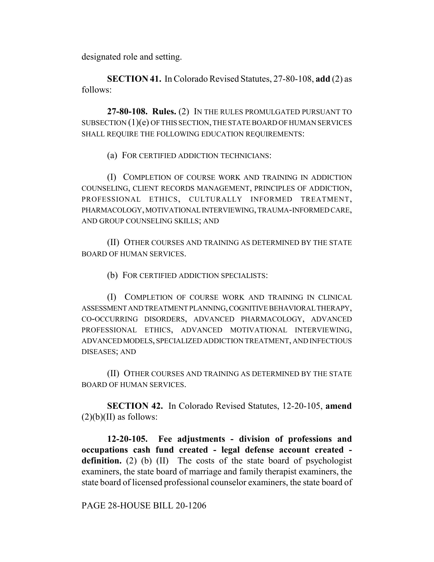designated role and setting.

**SECTION 41.** In Colorado Revised Statutes, 27-80-108, **add** (2) as follows:

**27-80-108. Rules.** (2) IN THE RULES PROMULGATED PURSUANT TO SUBSECTION  $(1)(e)$  OF THIS SECTION, THE STATE BOARD OF HUMAN SERVICES SHALL REQUIRE THE FOLLOWING EDUCATION REQUIREMENTS:

(a) FOR CERTIFIED ADDICTION TECHNICIANS:

(I) COMPLETION OF COURSE WORK AND TRAINING IN ADDICTION COUNSELING, CLIENT RECORDS MANAGEMENT, PRINCIPLES OF ADDICTION, PROFESSIONAL ETHICS, CULTURALLY INFORMED TREATMENT, PHARMACOLOGY, MOTIVATIONAL INTERVIEWING, TRAUMA-INFORMED CARE, AND GROUP COUNSELING SKILLS; AND

(II) OTHER COURSES AND TRAINING AS DETERMINED BY THE STATE BOARD OF HUMAN SERVICES.

(b) FOR CERTIFIED ADDICTION SPECIALISTS:

(I) COMPLETION OF COURSE WORK AND TRAINING IN CLINICAL ASSESSMENT AND TREATMENT PLANNING, COGNITIVE BEHAVIORAL THERAPY, CO-OCCURRING DISORDERS, ADVANCED PHARMACOLOGY, ADVANCED PROFESSIONAL ETHICS, ADVANCED MOTIVATIONAL INTERVIEWING, ADVANCED MODELS, SPECIALIZED ADDICTION TREATMENT, AND INFECTIOUS DISEASES; AND

(II) OTHER COURSES AND TRAINING AS DETERMINED BY THE STATE BOARD OF HUMAN SERVICES.

**SECTION 42.** In Colorado Revised Statutes, 12-20-105, **amend**  $(2)(b)(II)$  as follows:

**12-20-105. Fee adjustments - division of professions and occupations cash fund created - legal defense account created definition.** (2) (b) (II) The costs of the state board of psychologist examiners, the state board of marriage and family therapist examiners, the state board of licensed professional counselor examiners, the state board of

PAGE 28-HOUSE BILL 20-1206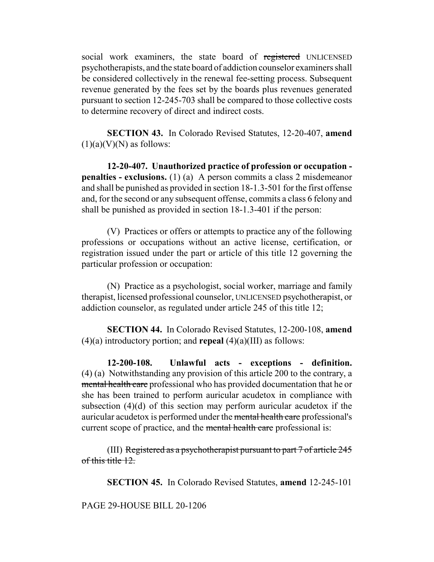social work examiners, the state board of registered UNLICENSED psychotherapists, and the state board of addiction counselor examiners shall be considered collectively in the renewal fee-setting process. Subsequent revenue generated by the fees set by the boards plus revenues generated pursuant to section 12-245-703 shall be compared to those collective costs to determine recovery of direct and indirect costs.

**SECTION 43.** In Colorado Revised Statutes, 12-20-407, **amend**  $(1)(a)(V)(N)$  as follows:

**12-20-407. Unauthorized practice of profession or occupation penalties - exclusions.** (1) (a) A person commits a class 2 misdemeanor and shall be punished as provided in section 18-1.3-501 for the first offense and, for the second or any subsequent offense, commits a class 6 felony and shall be punished as provided in section 18-1.3-401 if the person:

(V) Practices or offers or attempts to practice any of the following professions or occupations without an active license, certification, or registration issued under the part or article of this title 12 governing the particular profession or occupation:

(N) Practice as a psychologist, social worker, marriage and family therapist, licensed professional counselor, UNLICENSED psychotherapist, or addiction counselor, as regulated under article 245 of this title 12;

**SECTION 44.** In Colorado Revised Statutes, 12-200-108, **amend** (4)(a) introductory portion; and **repeal** (4)(a)(III) as follows:

**12-200-108. Unlawful acts - exceptions - definition.** (4) (a) Notwithstanding any provision of this article 200 to the contrary, a mental health care professional who has provided documentation that he or she has been trained to perform auricular acudetox in compliance with subsection (4)(d) of this section may perform auricular acudetox if the auricular acudetox is performed under the mental health care professional's current scope of practice, and the mental health care professional is:

(III) Registered as a psychotherapist pursuant to part  $7$  of article  $245$ of this title 12.

**SECTION 45.** In Colorado Revised Statutes, **amend** 12-245-101

PAGE 29-HOUSE BILL 20-1206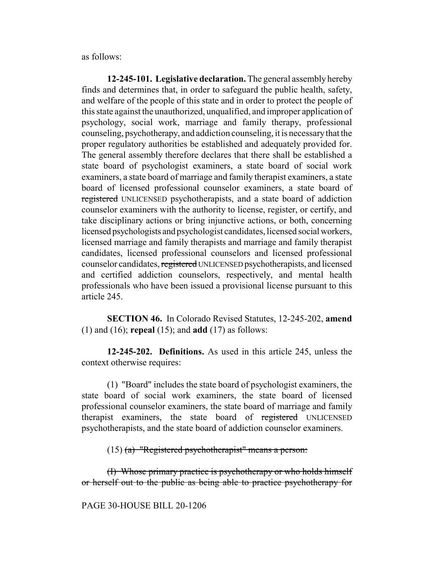as follows:

**12-245-101. Legislative declaration.** The general assembly hereby finds and determines that, in order to safeguard the public health, safety, and welfare of the people of this state and in order to protect the people of this state against the unauthorized, unqualified, and improper application of psychology, social work, marriage and family therapy, professional counseling, psychotherapy, and addiction counseling, it is necessary that the proper regulatory authorities be established and adequately provided for. The general assembly therefore declares that there shall be established a state board of psychologist examiners, a state board of social work examiners, a state board of marriage and family therapist examiners, a state board of licensed professional counselor examiners, a state board of registered UNLICENSED psychotherapists, and a state board of addiction counselor examiners with the authority to license, register, or certify, and take disciplinary actions or bring injunctive actions, or both, concerning licensed psychologists and psychologist candidates, licensed social workers, licensed marriage and family therapists and marriage and family therapist candidates, licensed professional counselors and licensed professional counselor candidates, registered UNLICENSED psychotherapists, and licensed and certified addiction counselors, respectively, and mental health professionals who have been issued a provisional license pursuant to this article 245.

**SECTION 46.** In Colorado Revised Statutes, 12-245-202, **amend** (1) and (16); **repeal** (15); and **add** (17) as follows:

**12-245-202. Definitions.** As used in this article 245, unless the context otherwise requires:

(1) "Board" includes the state board of psychologist examiners, the state board of social work examiners, the state board of licensed professional counselor examiners, the state board of marriage and family therapist examiners, the state board of registered UNLICENSED psychotherapists, and the state board of addiction counselor examiners.

 $(15)$  (a) "Registered psychotherapist" means a person:

(I) Whose primary practice is psychotherapy or who holds himself or herself out to the public as being able to practice psychotherapy for

PAGE 30-HOUSE BILL 20-1206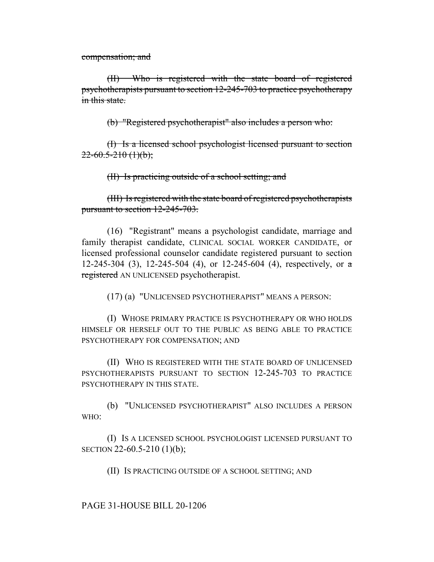compensation; and

(II) Who is registered with the state board of registered psychotherapists pursuant to section 12-245-703 to practice psychotherapy in this state.

(b) "Registered psychotherapist" also includes a person who:

(I) Is a licensed school psychologist licensed pursuant to section  $22-60.5-210(1)(b)$ ;

(II) Is practicing outside of a school setting; and

(III) Is registered with the state board of registered psychotherapists pursuant to section 12-245-703.

(16) "Registrant" means a psychologist candidate, marriage and family therapist candidate, CLINICAL SOCIAL WORKER CANDIDATE, or licensed professional counselor candidate registered pursuant to section 12-245-304 (3), 12-245-504 (4), or 12-245-604 (4), respectively, or  $\alpha$ registered AN UNLICENSED psychotherapist.

(17) (a) "UNLICENSED PSYCHOTHERAPIST" MEANS A PERSON:

(I) WHOSE PRIMARY PRACTICE IS PSYCHOTHERAPY OR WHO HOLDS HIMSELF OR HERSELF OUT TO THE PUBLIC AS BEING ABLE TO PRACTICE PSYCHOTHERAPY FOR COMPENSATION; AND

(II) WHO IS REGISTERED WITH THE STATE BOARD OF UNLICENSED PSYCHOTHERAPISTS PURSUANT TO SECTION 12-245-703 TO PRACTICE PSYCHOTHERAPY IN THIS STATE.

(b) "UNLICENSED PSYCHOTHERAPIST" ALSO INCLUDES A PERSON WHO:

(I) IS A LICENSED SCHOOL PSYCHOLOGIST LICENSED PURSUANT TO SECTION 22-60.5-210 (1)(b);

(II) IS PRACTICING OUTSIDE OF A SCHOOL SETTING; AND

PAGE 31-HOUSE BILL 20-1206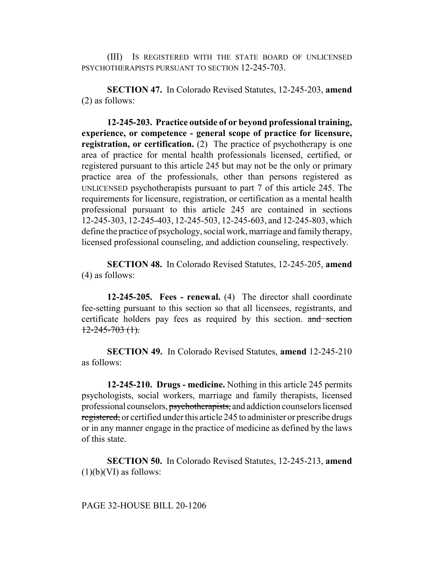(III) IS REGISTERED WITH THE STATE BOARD OF UNLICENSED PSYCHOTHERAPISTS PURSUANT TO SECTION 12-245-703.

**SECTION 47.** In Colorado Revised Statutes, 12-245-203, **amend** (2) as follows:

**12-245-203. Practice outside of or beyond professional training, experience, or competence - general scope of practice for licensure, registration, or certification.** (2) The practice of psychotherapy is one area of practice for mental health professionals licensed, certified, or registered pursuant to this article 245 but may not be the only or primary practice area of the professionals, other than persons registered as UNLICENSED psychotherapists pursuant to part 7 of this article 245. The requirements for licensure, registration, or certification as a mental health professional pursuant to this article 245 are contained in sections 12-245-303, 12-245-403, 12-245-503, 12-245-603, and 12-245-803, which define the practice of psychology, social work, marriage and family therapy, licensed professional counseling, and addiction counseling, respectively.

**SECTION 48.** In Colorado Revised Statutes, 12-245-205, **amend** (4) as follows:

**12-245-205. Fees - renewal.** (4) The director shall coordinate fee-setting pursuant to this section so that all licensees, registrants, and certificate holders pay fees as required by this section. and section  $12 - 245 - 703$  (1).

**SECTION 49.** In Colorado Revised Statutes, **amend** 12-245-210 as follows:

**12-245-210. Drugs - medicine.** Nothing in this article 245 permits psychologists, social workers, marriage and family therapists, licensed professional counselors, psychotherapists, and addiction counselors licensed registered, or certified under this article 245 to administer or prescribe drugs or in any manner engage in the practice of medicine as defined by the laws of this state.

**SECTION 50.** In Colorado Revised Statutes, 12-245-213, **amend**  $(1)(b)(VI)$  as follows: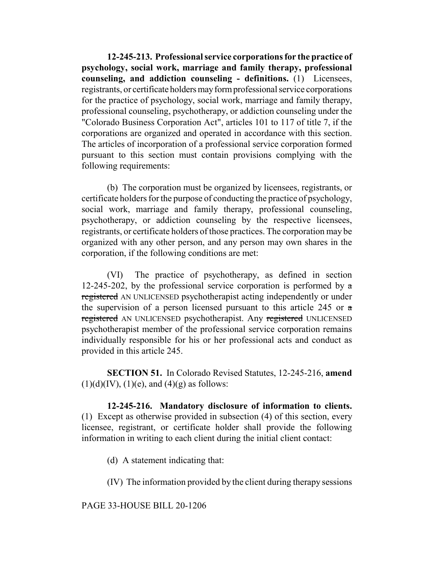**12-245-213. Professional service corporations for the practice of psychology, social work, marriage and family therapy, professional counseling, and addiction counseling - definitions.** (1) Licensees, registrants, or certificate holders may form professional service corporations for the practice of psychology, social work, marriage and family therapy, professional counseling, psychotherapy, or addiction counseling under the "Colorado Business Corporation Act", articles 101 to 117 of title 7, if the corporations are organized and operated in accordance with this section. The articles of incorporation of a professional service corporation formed pursuant to this section must contain provisions complying with the following requirements:

(b) The corporation must be organized by licensees, registrants, or certificate holders for the purpose of conducting the practice of psychology, social work, marriage and family therapy, professional counseling, psychotherapy, or addiction counseling by the respective licensees, registrants, or certificate holders of those practices. The corporation may be organized with any other person, and any person may own shares in the corporation, if the following conditions are met:

(VI) The practice of psychotherapy, as defined in section 12-245-202, by the professional service corporation is performed by  $\alpha$ registered AN UNLICENSED psychotherapist acting independently or under the supervision of a person licensed pursuant to this article 245 or  $\alpha$ registered AN UNLICENSED psychotherapist. Any registered UNLICENSED psychotherapist member of the professional service corporation remains individually responsible for his or her professional acts and conduct as provided in this article 245.

**SECTION 51.** In Colorado Revised Statutes, 12-245-216, **amend**  $(1)(d)(IV), (1)(e),$  and  $(4)(g)$  as follows:

**12-245-216. Mandatory disclosure of information to clients.** (1) Except as otherwise provided in subsection (4) of this section, every licensee, registrant, or certificate holder shall provide the following information in writing to each client during the initial client contact:

(d) A statement indicating that:

(IV) The information provided by the client during therapy sessions

PAGE 33-HOUSE BILL 20-1206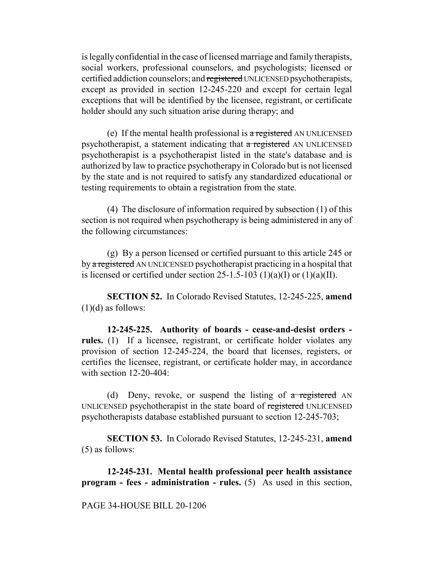is legally confidential in the case of licensed marriage and family therapists, social workers, professional counselors, and psychologists; licensed or certified addiction counselors; and registered UNLICENSED psychotherapists, except as provided in section 12-245-220 and except for certain legal exceptions that will be identified by the licensee, registrant, or certificate holder should any such situation arise during therapy; and

(e) If the mental health professional is  $\alpha$  registered AN UNLICENSED psychotherapist, a statement indicating that a registered AN UNLICENSED psychotherapist is a psychotherapist listed in the state's database and is authorized by law to practice psychotherapy in Colorado but is not licensed by the state and is not required to satisfy any standardized educational or testing requirements to obtain a registration from the state.

(4) The disclosure of information required by subsection (1) of this section is not required when psychotherapy is being administered in any of the following circumstances:

(g) By a person licensed or certified pursuant to this article 245 or by a registered AN UNLICENSED psychotherapist practicing in a hospital that is licensed or certified under section 25-1.5-103 (1)(a)(I) or (1)(a)(II).

**SECTION 52.** In Colorado Revised Statutes, 12-245-225, **amend**  $(1)(d)$  as follows:

**12-245-225. Authority of boards - cease-and-desist orders**  rules. (1) If a licensee, registrant, or certificate holder violates any provision of section 12-245-224, the board that licenses, registers, or certifies the licensee, registrant, or certificate holder may, in accordance with section 12-20-404:

(d) Deny, revoke, or suspend the listing of  $\alpha$  registered AN UNLICENSED psychotherapist in the state board of registered UNLICENSED psychotherapists database established pursuant to section 12-245-703;

**SECTION 53.** In Colorado Revised Statutes, 12-245-231, **amend** (5) as follows:

**12-245-231. Mental health professional peer health assistance program - fees - administration - rules.** (5) As used in this section,

#### PAGE 34-HOUSE BILL 20-1206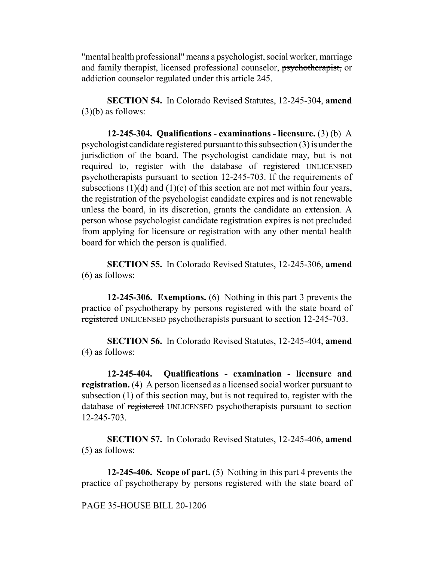"mental health professional" means a psychologist, social worker, marriage and family therapist, licensed professional counselor, psychotherapist, or addiction counselor regulated under this article 245.

**SECTION 54.** In Colorado Revised Statutes, 12-245-304, **amend**  $(3)(b)$  as follows:

**12-245-304. Qualifications - examinations - licensure.** (3) (b) A psychologist candidate registered pursuant to this subsection (3) is under the jurisdiction of the board. The psychologist candidate may, but is not required to, register with the database of registered UNLICENSED psychotherapists pursuant to section 12-245-703. If the requirements of subsections  $(1)(d)$  and  $(1)(e)$  of this section are not met within four years, the registration of the psychologist candidate expires and is not renewable unless the board, in its discretion, grants the candidate an extension. A person whose psychologist candidate registration expires is not precluded from applying for licensure or registration with any other mental health board for which the person is qualified.

**SECTION 55.** In Colorado Revised Statutes, 12-245-306, **amend** (6) as follows:

**12-245-306. Exemptions.** (6) Nothing in this part 3 prevents the practice of psychotherapy by persons registered with the state board of registered UNLICENSED psychotherapists pursuant to section 12-245-703.

**SECTION 56.** In Colorado Revised Statutes, 12-245-404, **amend** (4) as follows:

**12-245-404. Qualifications - examination - licensure and registration.** (4) A person licensed as a licensed social worker pursuant to subsection (1) of this section may, but is not required to, register with the database of registered UNLICENSED psychotherapists pursuant to section 12-245-703.

**SECTION 57.** In Colorado Revised Statutes, 12-245-406, **amend** (5) as follows:

**12-245-406. Scope of part.** (5) Nothing in this part 4 prevents the practice of psychotherapy by persons registered with the state board of

PAGE 35-HOUSE BILL 20-1206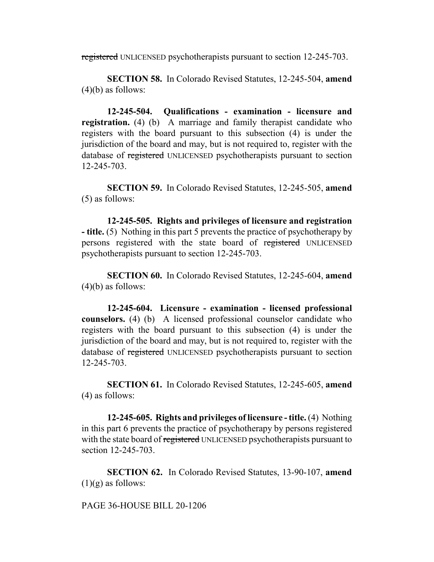registered UNLICENSED psychotherapists pursuant to section 12-245-703.

**SECTION 58.** In Colorado Revised Statutes, 12-245-504, **amend**  $(4)(b)$  as follows:

**12-245-504. Qualifications - examination - licensure and registration.** (4) (b) A marriage and family therapist candidate who registers with the board pursuant to this subsection (4) is under the jurisdiction of the board and may, but is not required to, register with the database of registered UNLICENSED psychotherapists pursuant to section 12-245-703.

**SECTION 59.** In Colorado Revised Statutes, 12-245-505, **amend** (5) as follows:

**12-245-505. Rights and privileges of licensure and registration - title.** (5) Nothing in this part 5 prevents the practice of psychotherapy by persons registered with the state board of registered UNLICENSED psychotherapists pursuant to section 12-245-703.

**SECTION 60.** In Colorado Revised Statutes, 12-245-604, **amend**  $(4)(b)$  as follows:

**12-245-604. Licensure - examination - licensed professional counselors.** (4) (b) A licensed professional counselor candidate who registers with the board pursuant to this subsection (4) is under the jurisdiction of the board and may, but is not required to, register with the database of registered UNLICENSED psychotherapists pursuant to section 12-245-703.

**SECTION 61.** In Colorado Revised Statutes, 12-245-605, **amend** (4) as follows:

**12-245-605. Rights and privileges of licensure - title.** (4) Nothing in this part 6 prevents the practice of psychotherapy by persons registered with the state board of registered UNLICENSED psychotherapists pursuant to section 12-245-703.

**SECTION 62.** In Colorado Revised Statutes, 13-90-107, **amend**  $(1)(g)$  as follows:

PAGE 36-HOUSE BILL 20-1206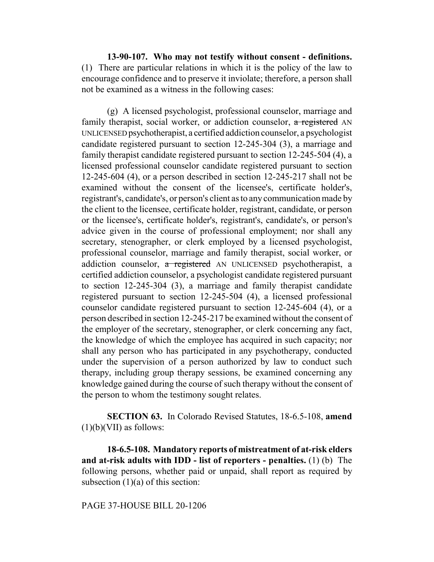**13-90-107. Who may not testify without consent - definitions.** (1) There are particular relations in which it is the policy of the law to encourage confidence and to preserve it inviolate; therefore, a person shall not be examined as a witness in the following cases:

(g) A licensed psychologist, professional counselor, marriage and family therapist, social worker, or addiction counselor, a registered AN UNLICENSED psychotherapist, a certified addiction counselor, a psychologist candidate registered pursuant to section 12-245-304 (3), a marriage and family therapist candidate registered pursuant to section 12-245-504 (4), a licensed professional counselor candidate registered pursuant to section 12-245-604 (4), or a person described in section 12-245-217 shall not be examined without the consent of the licensee's, certificate holder's, registrant's, candidate's, or person's client as to any communication made by the client to the licensee, certificate holder, registrant, candidate, or person or the licensee's, certificate holder's, registrant's, candidate's, or person's advice given in the course of professional employment; nor shall any secretary, stenographer, or clerk employed by a licensed psychologist, professional counselor, marriage and family therapist, social worker, or addiction counselor, a registered AN UNLICENSED psychotherapist, a certified addiction counselor, a psychologist candidate registered pursuant to section 12-245-304 (3), a marriage and family therapist candidate registered pursuant to section 12-245-504 (4), a licensed professional counselor candidate registered pursuant to section 12-245-604 (4), or a person described in section 12-245-217 be examined without the consent of the employer of the secretary, stenographer, or clerk concerning any fact, the knowledge of which the employee has acquired in such capacity; nor shall any person who has participated in any psychotherapy, conducted under the supervision of a person authorized by law to conduct such therapy, including group therapy sessions, be examined concerning any knowledge gained during the course of such therapy without the consent of the person to whom the testimony sought relates.

**SECTION 63.** In Colorado Revised Statutes, 18-6.5-108, **amend**  $(1)(b)(VII)$  as follows:

**18-6.5-108. Mandatory reports of mistreatment of at-risk elders and at-risk adults with IDD - list of reporters - penalties.** (1) (b) The following persons, whether paid or unpaid, shall report as required by subsection  $(1)(a)$  of this section:

PAGE 37-HOUSE BILL 20-1206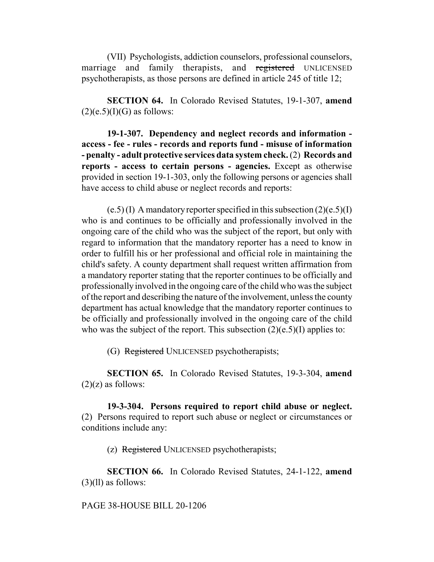(VII) Psychologists, addiction counselors, professional counselors, marriage and family therapists, and registered UNLICENSED psychotherapists, as those persons are defined in article 245 of title 12;

**SECTION 64.** In Colorado Revised Statutes, 19-1-307, **amend**  $(2)(e.5)(I)(G)$  as follows:

**19-1-307. Dependency and neglect records and information access - fee - rules - records and reports fund - misuse of information - penalty - adult protective services data system check.** (2) **Records and reports - access to certain persons - agencies.** Except as otherwise provided in section 19-1-303, only the following persons or agencies shall have access to child abuse or neglect records and reports:

 $(e.5)$  (I) A mandatory reporter specified in this subsection  $(2)(e.5)$ (I) who is and continues to be officially and professionally involved in the ongoing care of the child who was the subject of the report, but only with regard to information that the mandatory reporter has a need to know in order to fulfill his or her professional and official role in maintaining the child's safety. A county department shall request written affirmation from a mandatory reporter stating that the reporter continues to be officially and professionally involved in the ongoing care of the child who was the subject of the report and describing the nature of the involvement, unless the county department has actual knowledge that the mandatory reporter continues to be officially and professionally involved in the ongoing care of the child who was the subject of the report. This subsection  $(2)(e.5)(I)$  applies to:

(G) Registered UNLICENSED psychotherapists;

**SECTION 65.** In Colorado Revised Statutes, 19-3-304, **amend**  $(2)(z)$  as follows:

**19-3-304. Persons required to report child abuse or neglect.** (2) Persons required to report such abuse or neglect or circumstances or conditions include any:

(z) Registered UNLICENSED psychotherapists;

**SECTION 66.** In Colorado Revised Statutes, 24-1-122, **amend** (3)(ll) as follows:

## PAGE 38-HOUSE BILL 20-1206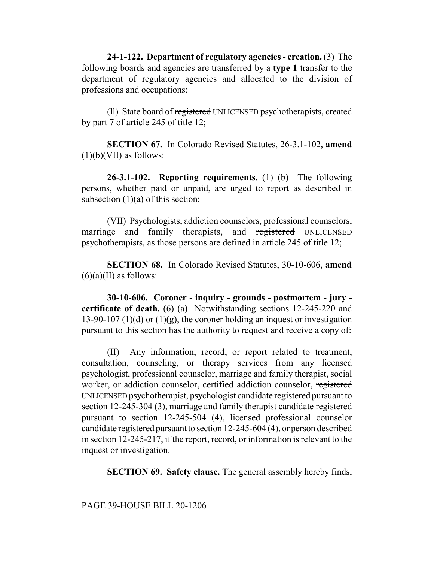**24-1-122. Department of regulatory agencies - creation.** (3) The following boards and agencies are transferred by a **type 1** transfer to the department of regulatory agencies and allocated to the division of professions and occupations:

(ll) State board of registered UNLICENSED psychotherapists, created by part 7 of article 245 of title 12;

**SECTION 67.** In Colorado Revised Statutes, 26-3.1-102, **amend**  $(1)(b)(VII)$  as follows:

**26-3.1-102. Reporting requirements.** (1) (b) The following persons, whether paid or unpaid, are urged to report as described in subsection  $(1)(a)$  of this section:

(VII) Psychologists, addiction counselors, professional counselors, marriage and family therapists, and registered UNLICENSED psychotherapists, as those persons are defined in article 245 of title 12;

**SECTION 68.** In Colorado Revised Statutes, 30-10-606, **amend**  $(6)(a)(II)$  as follows:

**30-10-606. Coroner - inquiry - grounds - postmortem - jury certificate of death.** (6) (a) Notwithstanding sections 12-245-220 and 13-90-107 (1)(d) or (1)(g), the coroner holding an inquest or investigation pursuant to this section has the authority to request and receive a copy of:

(II) Any information, record, or report related to treatment, consultation, counseling, or therapy services from any licensed psychologist, professional counselor, marriage and family therapist, social worker, or addiction counselor, certified addiction counselor, registered UNLICENSED psychotherapist, psychologist candidate registered pursuant to section 12-245-304 (3), marriage and family therapist candidate registered pursuant to section 12-245-504 (4), licensed professional counselor candidate registered pursuant to section 12-245-604 (4), or person described in section 12-245-217, if the report, record, or information is relevant to the inquest or investigation.

**SECTION 69. Safety clause.** The general assembly hereby finds,

PAGE 39-HOUSE BILL 20-1206